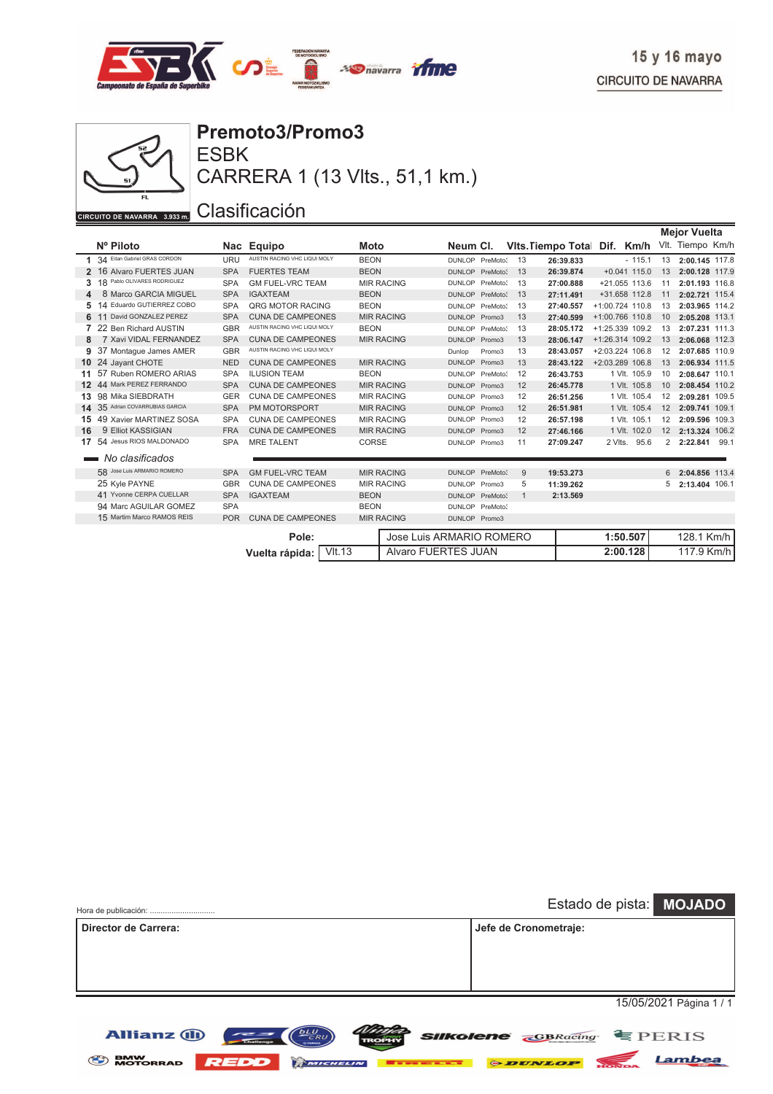



CARRERA 1 (13 Vlts., 51,1 km.)

|    |                                 |            |                              |             |                            |                 |          |              |                           |         |                   |                | <b>Mejor Vuelta</b> |      |
|----|---------------------------------|------------|------------------------------|-------------|----------------------------|-----------------|----------|--------------|---------------------------|---------|-------------------|----------------|---------------------|------|
|    | Nº Piloto                       |            | Nac Equipo                   | Moto        |                            | Neum CI.        |          |              | <b>Vits. Tiempo Total</b> | Dif.    | Km/h              |                | VIt. Tiempo Km/h    |      |
|    | 1 34 Eitan Gabriel GRAS CORDON  | URU        | AUSTIN RACING VHC LIQUI MOLY | <b>BEON</b> |                            | DUNLOP PreMoto? |          | 13           | 26:39.833                 |         | $-115.1$          | 13             | 2:00.145 117.8      |      |
|    | 2 16 Alvaro FUERTES JUAN        | <b>SPA</b> | <b>FUERTES TEAM</b>          | <b>BEON</b> |                            | DUNLOP PreMoto? |          | 13           | 26:39.874                 |         | $+0.041$ 115.0    | 13             | 2:00.128 117.9      |      |
|    | 18<br>Pablo OLIVARES RODRIGUEZ  | <b>SPA</b> | <b>GM FUEL-VRC TEAM</b>      |             | <b>MIR RACING</b>          | DUNLOP PreMoto? |          | 13           | 27:00.888                 |         | $+21.055$ 113.6   | 11             | 2:01.193 116.8      |      |
| 4  | 8 Marco GARCIA MIGUEL           | <b>SPA</b> | <b>IGAXTEAM</b>              | <b>BEON</b> |                            | <b>DUNLOP</b>   | PreMoto? | 13           | 27:11.491                 |         | +31.658 112.8     | 11             | 2:02.721 115.4      |      |
| 5  | 14 Eduardo GUTIERREZ COBO       | <b>SPA</b> | QRG MOTOR RACING             | <b>BEON</b> |                            | DUNLOP PreMoto? |          | 13           | 27:40.557                 |         | +1:00.724 110.8   | 13             | 2:03.965 114.2      |      |
|    | 11 David GONZALEZ PEREZ         | <b>SPA</b> | <b>CUNA DE CAMPEONES</b>     |             | <b>MIR RACING</b>          | DUNLOP Promo3   |          | 13           | 27:40.599                 |         | +1:00.766 110.8   | 10             | 2:05.208 113.1      |      |
|    | 7 22 Ben Richard AUSTIN         | <b>GBR</b> | AUSTIN RACING VHC LIQUI MOLY | <b>BEON</b> |                            | DUNLOP PreMoto? |          | 13           | 28:05.172                 |         | +1:25.339 109.2   | 13             | 2:07.231 111.3      |      |
| 8  | 7 Xavi VIDAL FERNANDEZ          | <b>SPA</b> | <b>CUNA DE CAMPEONES</b>     |             | <b>MIR RACING</b>          | DUNLOP Promo3   |          | 13           | 28:06.147                 |         | $+1:26.314$ 109.2 | 13             | 2:06.068 112.3      |      |
| 9  | 37 Montague James AMER          | <b>GBR</b> | AUSTIN RACING VHC LIQUI MOLY |             |                            | Dunlop          | Promo3   | 13           | 28:43.057                 |         | +2:03.224 106.8   | 12             | 2:07.685 110.9      |      |
|    | 10 24 Jayant CHOTE              | <b>NED</b> | <b>CUNA DE CAMPEONES</b>     |             | <b>MIR RACING</b>          | DUNLOP Promo3   |          | 13           | 28:43.122                 |         | $+2:03.289$ 106.8 | 13             | 2:06.934 111.5      |      |
| 11 | 57 Ruben ROMERO ARIAS           | <b>SPA</b> | <b>ILUSION TEAM</b>          | <b>BEON</b> |                            | DUNLOP PreMoto? |          | 12           | 26:43.753                 |         | 1 VIt. 105.9      | 10             | 2:08.647 110.1      |      |
|    | 12 44 Mark PEREZ FERRANDO       | <b>SPA</b> | <b>CUNA DE CAMPEONES</b>     |             | <b>MIR RACING</b>          | DUNLOP Promo3   |          | 12           | 26:45.778                 |         | 1 VIt. 105.8      | 10             | 2:08.454 110.2      |      |
| 13 | 98 Mika SIEBDRATH               | <b>GER</b> | <b>CUNA DE CAMPEONES</b>     |             | <b>MIR RACING</b>          | DUNLOP Promo3   |          | 12           | 26:51.256                 |         | 1 VIt. 105.4      | 12             | 2:09.281 109.5      |      |
|    | 14 35 Adrian COVARRUBIAS GARCIA | <b>SPA</b> | PM MOTORSPORT                |             | <b>MIR RACING</b>          | DUNLOP Promo3   |          | 12           | 26:51.981                 |         | 1 VIt. 105.4      | 12             | 2:09.741 109.1      |      |
| 15 | 49 Xavier MARTINEZ SOSA         | <b>SPA</b> | <b>CUNA DE CAMPEONES</b>     |             | <b>MIR RACING</b>          | <b>DUNLOP</b>   | Promo3   | 12           | 26:57.198                 |         | 1 VIt. 105.1      | 12             | 2:09.596 109.3      |      |
| 16 | 9 Elliot KASSIGIAN              | <b>FRA</b> | <b>CUNA DE CAMPEONES</b>     |             | <b>MIR RACING</b>          | DUNLOP Promo3   |          | 12           | 27:46.166                 |         | 1 VIt. 102.0      | 12             | 2:13.324 106.2      |      |
| 17 | 54 Jesus RIOS MALDONADO         | <b>SPA</b> | <b>MRE TALENT</b>            | CORSE       |                            | DUNLOP Promo3   |          | 11           | 27:09.247                 | 2 Vlts. | 95.6              | $\overline{2}$ | 2:22.841            | 99.1 |
|    | No clasificados                 |            |                              |             |                            |                 |          |              |                           |         |                   |                |                     |      |
|    | 58 Jose Luis ARMARIO ROMERO     | <b>SPA</b> | <b>GM FUEL-VRC TEAM</b>      |             | <b>MIR RACING</b>          | DUNLOP PreMoto? |          | 9            | 19:53.273                 |         |                   | 6              | 2:04.856 113.4      |      |
|    | 25 Kyle PAYNE                   | <b>GBR</b> | <b>CUNA DE CAMPEONES</b>     |             | <b>MIR RACING</b>          | DUNLOP Promo3   |          | 5            | 11:39.262                 |         |                   | 5              | 2:13.404 106.1      |      |
|    | 41 Yvonne CERPA CUELLAR         | <b>SPA</b> | <b>IGAXTEAM</b>              | <b>BEON</b> |                            | DUNLOP PreMoto? |          | $\mathbf{1}$ | 2:13.569                  |         |                   |                |                     |      |
|    | 94 Marc AGUILAR GOMEZ           | <b>SPA</b> |                              | <b>BEON</b> |                            | DUNLOP PreMoto? |          |              |                           |         |                   |                |                     |      |
|    | 15 Martim Marco RAMOS REIS      | <b>POR</b> | <b>CUNA DE CAMPEONES</b>     |             | <b>MIR RACING</b>          | DUNLOP Promo3   |          |              |                           |         |                   |                |                     |      |
|    |                                 |            |                              |             |                            |                 |          |              |                           |         |                   |                |                     |      |
|    |                                 |            | Pole:                        |             | Jose Luis ARMARIO ROMERO   |                 |          |              |                           |         | 1:50.507          |                | 128.1 Km/h          |      |
|    | <b>VIt.13</b><br>Vuelta rápida: |            |                              |             | <b>Alvaro FUERTES JUAN</b> |                 |          |              |                           |         | 2:00.128          |                | 117.9 Km/h          |      |

| Hora de publicación: |                      |  |                       | Estado de pista: MOJADO           |
|----------------------|----------------------|--|-----------------------|-----------------------------------|
| Director de Carrera: |                      |  | Jefe de Cronometraje: |                                   |
|                      |                      |  |                       |                                   |
|                      |                      |  |                       |                                   |
|                      |                      |  |                       |                                   |
|                      |                      |  |                       | 15/05/2021 Página 1 / 1           |
| <b>Allianz (ii)</b>  | <b>DLU</b><br>$\sim$ |  |                       | <b>Silkolene GBRacing E</b> PERIS |

BMW MOTORRAD REDD COMENTER DESCRIPTION DEVELOP MOTORRAD REDDO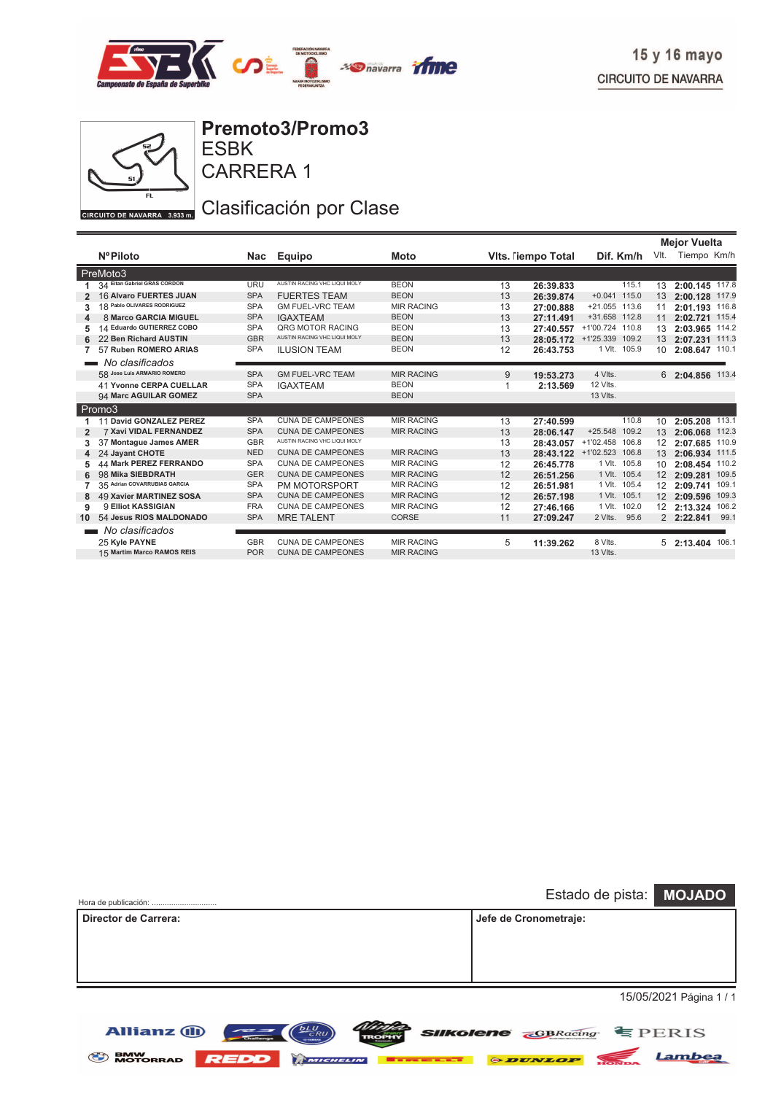



**Allianz (II)** 

ESBK **Premoto3/Promo3**

CARRERA 1

### Clasificación por Clase

|                |                                |            |                              |                   |    |                          |                           | <b>Mejor Vuelta</b> |                  |       |
|----------------|--------------------------------|------------|------------------------------|-------------------|----|--------------------------|---------------------------|---------------------|------------------|-------|
|                | <b>NºPiloto</b>                | Nac        | <b>Equipo</b>                | Moto              |    | <b>Vits. Tempo Total</b> | Dif. Km/h                 | VIt.                | Tiempo Km/h      |       |
|                | PreMoto3                       |            |                              |                   |    |                          |                           |                     |                  |       |
|                | 34 Eitan Gabriel GRAS CORDON   | <b>URU</b> | AUSTIN RACING VHC LIQUI MOLY | <b>BEON</b>       | 13 | 26:39.833                | 115.1                     | 13                  | 2:00.145 117.8   |       |
|                | <b>16 Alvaro FUERTES JUAN</b>  | <b>SPA</b> | <b>FUERTES TEAM</b>          | <b>BEON</b>       | 13 | 26:39.874                | $+0.041$ 115.0            | 13                  | 2:00.128 117.9   |       |
| 3              | 18 Pablo OLIVARES RODRIGUEZ    | <b>SPA</b> | <b>GM FUEL-VRC TEAM</b>      | <b>MIR RACING</b> | 13 | 27:00.888                | $+21.055$ 113.6           | 11                  | 2:01.193 116.8   |       |
| 4              | 8 Marco GARCIA MIGUEL          | <b>SPA</b> | <b>IGAXTEAM</b>              | <b>BEON</b>       | 13 | 27:11.491                | +31.658 112.8             | 11                  | 2:02.721 115.4   |       |
| 5              | 14 Eduardo GUTIERREZ COBO      | <b>SPA</b> | QRG MOTOR RACING             | <b>BEON</b>       | 13 | 27:40.557                | +1'00.724 110.8           | 13                  | 2:03.965 114.2   |       |
|                | 22 Ben Richard AUSTIN          | <b>GBR</b> | AUSTIN RACING VHC LIQUI MOLY | <b>BEON</b>       | 13 | 28:05.172                | +1'25.339 109.2           | 13                  | 2:07.231 111.3   |       |
|                | 57 Ruben ROMERO ARIAS          | <b>SPA</b> | <b>ILUSION TEAM</b>          | <b>BEON</b>       | 12 | 26:43.753                | 1 VIt. 105.9              | 10                  | 2:08.647 110.1   |       |
|                | No clasificados                |            |                              |                   |    |                          |                           |                     |                  |       |
|                | 58 Jose Luis ARMARIO ROMERO    | <b>SPA</b> | <b>GM FUEL-VRC TEAM</b>      | <b>MIR RACING</b> | 9  | 19:53.273                | 4 Vlts.                   |                     | 6 2:04.856 113.4 |       |
|                | <b>41 Yvonne CERPA CUELLAR</b> | <b>SPA</b> | <b>IGAXTEAM</b>              | <b>BEON</b>       |    | 2:13.569                 | 12 Vlts.                  |                     |                  |       |
|                | 94 Marc AGUILAR GOMEZ          | <b>SPA</b> |                              | <b>BEON</b>       |    |                          | 13 Vlts.                  |                     |                  |       |
|                | Promo3                         |            |                              |                   |    |                          |                           |                     |                  |       |
|                | 11 David GONZALEZ PEREZ        | <b>SPA</b> | <b>CUNA DE CAMPEONES</b>     | <b>MIR RACING</b> | 13 | 27:40.599                | 110.8                     | 10                  | 2:05.208         | 113.1 |
| $\overline{2}$ | <b>7 Xavi VIDAL FERNANDEZ</b>  | <b>SPA</b> | <b>CUNA DE CAMPEONES</b>     | <b>MIR RACING</b> | 13 | 28:06.147                | $+25.548$<br>109.2        | 13                  | 2:06.068 112.3   |       |
| 3              | 37 Montague James AMER         | <b>GBR</b> | AUSTIN RACING VHC LIQUI MOLY |                   | 13 | 28:43.057                | +1'02.458 106.8           | 12 <sup>2</sup>     | 2:07.685         | 110.9 |
| 4              | 24 Jayant CHOTE                | <b>NED</b> | <b>CUNA DE CAMPEONES</b>     | <b>MIR RACING</b> | 13 |                          | 28:43.122 +1'02.523 106.8 | 13                  | 2:06.934 111.5   |       |
| 5              | <b>44 Mark PEREZ FERRANDO</b>  | <b>SPA</b> | <b>CUNA DE CAMPEONES</b>     | <b>MIR RACING</b> | 12 | 26:45.778                | 1 VIt. 105.8              | 10                  | 2:08.454         | 110.2 |
| 6              | 98 Mika SIEBDRATH              | <b>GER</b> | <b>CUNA DE CAMPEONES</b>     | <b>MIR RACING</b> | 12 | 26:51.256                | 1 VIt. 105.4              | 12 <sup>7</sup>     | 2:09.281         | 109.5 |
|                | 35 Adrian COVARRUBIAS GARCIA   | <b>SPA</b> | PM MOTORSPORT                | <b>MIR RACING</b> | 12 | 26:51.981                | 1 VIt. 105.4              | 12                  | 2:09.741         | 109.1 |
| 8              | <b>49 Xavier MARTINEZ SOSA</b> | <b>SPA</b> | <b>CUNA DE CAMPEONES</b>     | <b>MIR RACING</b> | 12 | 26:57.198                | 1 VIt. 105.1              | 12 <sup>2</sup>     | 2:09.596         | 109.3 |
| 9              | 9 Elliot KASSIGIAN             | <b>FRA</b> | <b>CUNA DE CAMPEONES</b>     | <b>MIR RACING</b> | 12 | 27:46.166                | 1 VIt. 102.0              | 12                  | 2:13.324         | 106.2 |
| 10             | 54 Jesus RIOS MALDONADO        | <b>SPA</b> | <b>MRE TALENT</b>            | <b>CORSE</b>      | 11 | 27:09.247                | 2 Vlts. 95.6              |                     | 2 2:22.841       | 99.1  |
|                | No clasificados                |            |                              |                   |    |                          |                           |                     |                  |       |
|                | 25 Kyle PAYNE                  | <b>GBR</b> | <b>CUNA DE CAMPEONES</b>     | <b>MIR RACING</b> | 5  | 11:39.262                | 8 Vlts.                   |                     | 5 2:13.404 106.1 |       |
|                | 15 Martim Marco RAMOS REIS     | <b>POR</b> | <b>CUNA DE CAMPEONES</b>     | <b>MIR RACING</b> |    |                          | 13 Vlts.                  |                     |                  |       |
|                |                                |            |                              |                   |    |                          |                           |                     |                  |       |

| Estado de pista: MOJADO |
|-------------------------|
| Jefe de Cronometraje:   |
|                         |
|                         |
| 15/05/2021 Página 1 / 1 |
|                         |

 $L_U$  $\left(\frac{L}{CRU}\right)$ 

BMW MOTORRAD REDD **REDDENIUM Extensive CONDUCT REDDEN** 

 $\sim$   $\sim$   $\sim$   $\sim$   $\sim$   $\sim$ 

*SIIKolene GBRacing* **EPERIS** 

Lambea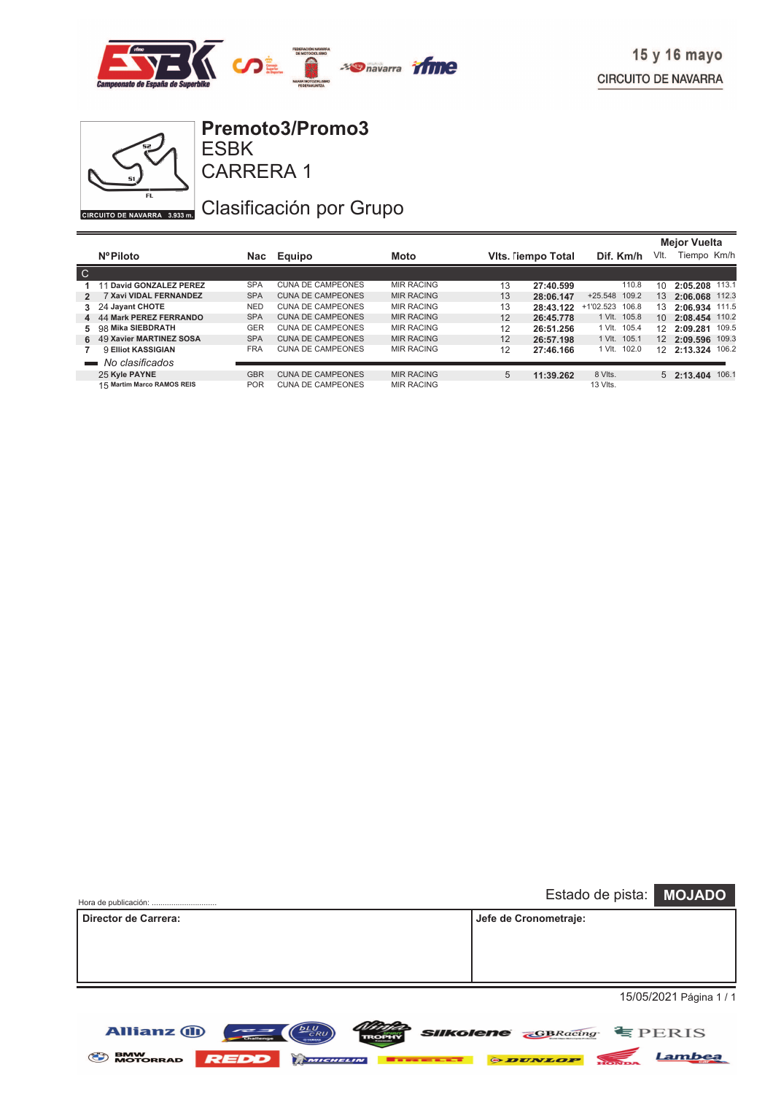

Lambea



ESBK **Premoto3/Promo3**

### Clasificación por Grupo

|                 |                               |            |                          |                   |    |                   |                 |                 | <b>Mejor Vuelta</b> |       |
|-----------------|-------------------------------|------------|--------------------------|-------------------|----|-------------------|-----------------|-----------------|---------------------|-------|
|                 | <b>NºPiloto</b>               | Nac        | Equipo                   | <b>Moto</b>       |    | Vits. Tempo Total | Dif. Km/h       | VIt.            | Tiempo Km/h         |       |
| $\overline{C}$  |                               |            |                          |                   |    |                   |                 |                 |                     |       |
|                 | 11 David GONZALEZ PEREZ       | <b>SPA</b> | <b>CUNA DE CAMPEONES</b> | <b>MIR RACING</b> | 13 | 27:40.599         | 110.8           | 10              | 2:05.208            | 113.1 |
| 2               | <b>7 Xavi VIDAL FERNANDEZ</b> | <b>SPA</b> | <b>CUNA DE CAMPEONES</b> | <b>MIR RACING</b> | 13 | 28:06.147         | +25.548 109.2   | 13 <sup>°</sup> | 2:06.068            | 112.3 |
|                 | 3 24 Jayant CHOTE             | <b>NED</b> | CUNA DE CAMPEONES        | <b>MIR RACING</b> | 13 | 28:43.122         | +1'02.523 106.8 | 13              | 2:06.934 111.5      |       |
|                 | 4 44 Mark PEREZ FERRANDO      | <b>SPA</b> | <b>CUNA DE CAMPEONES</b> | <b>MIR RACING</b> | 12 | 26:45.778         | 1 VIt. 105.8    | 10 <sup>°</sup> | 2:08.454 110.2      |       |
|                 | 5 98 Mika SIEBDRATH           | <b>GER</b> | CUNA DE CAMPEONES        | <b>MIR RACING</b> | 12 | 26:51.256         | 1 VIt. 105.4    | 12 <sup>°</sup> | 2:09.281            | 109.5 |
|                 | 6 49 Xavier MARTINEZ SOSA     | <b>SPA</b> | <b>CUNA DE CAMPEONES</b> | <b>MIR RACING</b> | 12 | 26:57.198         | 1 VIt. 105.1    | $12^{\circ}$    | 2:09.596 109.3      |       |
|                 | 9 Elliot KASSIGIAN            | <b>FRA</b> | <b>CUNA DE CAMPEONES</b> | <b>MIR RACING</b> | 12 | 27:46.166         | 1 VIt. 102.0    | 12              | 2:13.324 106.2      |       |
| <b>Contract</b> | No clasificados               |            |                          |                   |    |                   |                 |                 |                     |       |
|                 | 25 Kyle PAYNE                 | <b>GBR</b> | <b>CUNA DE CAMPEONES</b> | <b>MIR RACING</b> | 5  | 11:39.262         | 8 VIts.         |                 | $5$ 2:13.404        | 106.1 |
|                 | 15 Martim Marco RAMOS REIS    | <b>POR</b> | CUNA DE CAMPEONES        | <b>MIR RACING</b> |    |                   | 13 Vlts.        |                 |                     |       |

| Hora de publicación: |                                        |  |                       | Estado de pista: MOJADO           |
|----------------------|----------------------------------------|--|-----------------------|-----------------------------------|
| Director de Carrera: |                                        |  | Jefe de Cronometraje: |                                   |
|                      |                                        |  |                       |                                   |
|                      |                                        |  |                       |                                   |
|                      |                                        |  |                       |                                   |
|                      |                                        |  |                       | 15/05/2021 Página 1 / 1           |
|                      |                                        |  |                       |                                   |
| <b>Allianz (ii)</b>  | <b>DLU</b><br>$\sim$<br><b>GYANANA</b> |  |                       | <b>Silkolene GBRacing E</b> PERIS |

**SENW MOTORRAD REDD MICHELIN Extends ADUNLOP**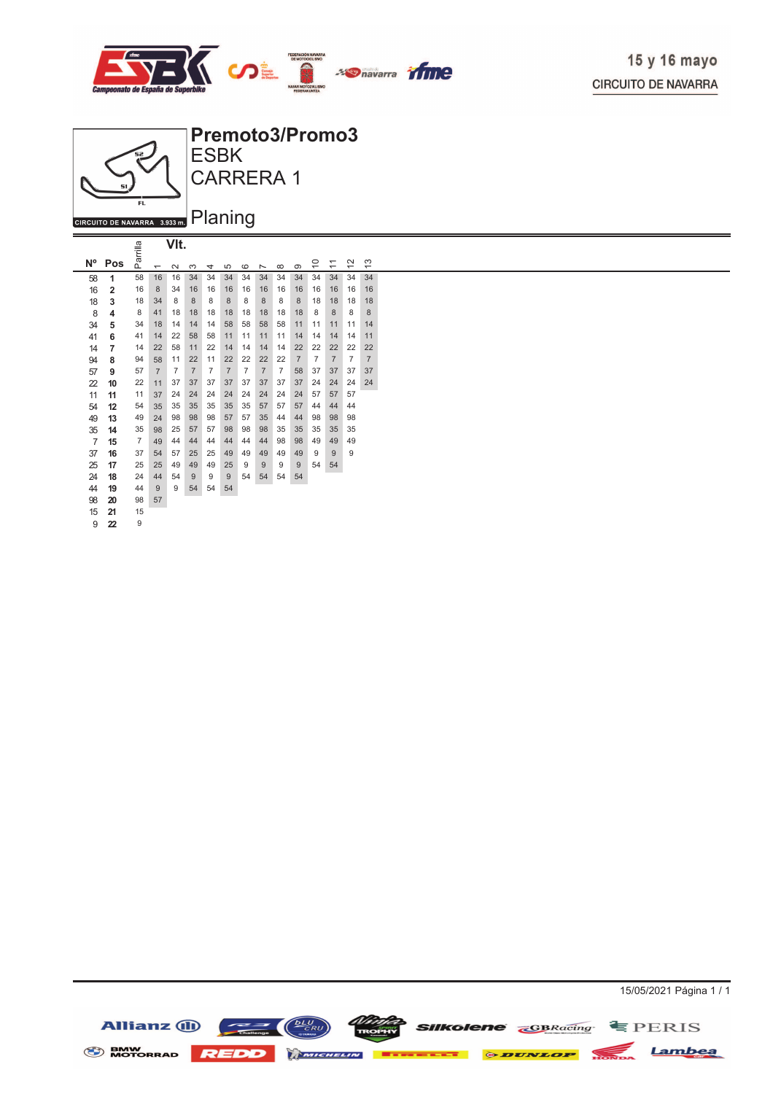



| $N^{\circ}$    | Pos            | Parril         | $\overline{\phantom{0}}$ | $\sim$         | S              | 4              | 5              | $\circ$        | $\overline{ }$ | $\infty$       | ၜ              | ₽              | $\overline{\phantom{0}}$<br>$\overline{ }$ | $\sim$<br>$\overline{\phantom{0}}$ | 13             |  |
|----------------|----------------|----------------|--------------------------|----------------|----------------|----------------|----------------|----------------|----------------|----------------|----------------|----------------|--------------------------------------------|------------------------------------|----------------|--|
| 58             | 1              | 58             | 16                       | 16             | 34             | 34             | 34             | 34             | 34             | 34             | 34             | 34             | 34                                         | 34                                 | 34             |  |
| 16             | $\overline{2}$ | 16             | 8                        | 34             | 16             | 16             | 16             | 16             | 16             | 16             | 16             | 16             | 16                                         | 16                                 | 16             |  |
| 18             | 3              | 18             | 34                       | 8              | 8              | 8              | 8              | 8              | 8              | 8              | 8              | 18             | 18                                         | 18                                 | 18             |  |
| 8              | 4              | 8              | 41                       | 18             | 18             | 18             | 18             | 18             | 18             | 18             | 18             | 8              | 8                                          | 8                                  | 8              |  |
| 34             | 5              | 34             | 18                       | 14             | 14             | 14             | 58             | 58             | 58             | 58             | 11             | 11             | 11                                         | 11                                 | 14             |  |
| 41             | 6              | 41             | 14                       | 22             | 58             | 58             | 11             | 11             | 11             | 11             | 14             | 14             | 14                                         | 14                                 | 11             |  |
| 14             | 7              | 14             | 22                       | 58             | 11             | 22             | 14             | 14             | 14             | 14             | 22             | 22             | 22                                         | 22                                 | 22             |  |
| 94             | 8              | 94             | 58                       | 11             | 22             | 11             | 22             | 22             | 22             | 22             | $\overline{7}$ | $\overline{7}$ | $\overline{7}$                             | $\overline{7}$                     | $\overline{7}$ |  |
| 57             | 9              | 57             | $\overline{7}$           | $\overline{7}$ | $\overline{7}$ | $\overline{7}$ | $\overline{7}$ | $\overline{7}$ | $\overline{7}$ | $\overline{7}$ | 58             | 37             | 37                                         | 37                                 | 37             |  |
| 22             | 10             | 22             | 11                       | 37             | 37             | 37             | 37             | 37             | 37             | 37             | 37             | 24             | 24                                         | 24                                 | 24             |  |
| 11             | 11             | 11             | 37                       | 24             | 24             | 24             | 24             | 24             | 24             | 24             | 24             | 57             | 57                                         | 57                                 |                |  |
| 54             | 12             | 54             | 35                       | 35             | 35             | 35             | 35             | 35             | 57             | 57             | 57             | 44             | 44                                         | 44                                 |                |  |
| 49             | 13             | 49             | 24                       | 98             | 98             | 98             | 57             | 57             | 35             | 44             | 44             | 98             | 98                                         | 98                                 |                |  |
| 35             | 14             | 35             | 98                       | 25             | 57             | 57             | 98             | 98             | 98             | 35             | 35             | 35             | 35                                         | 35                                 |                |  |
| $\overline{7}$ | 15             | $\overline{7}$ | 49                       | 44             | 44             | 44             | 44             | 44             | 44             | 98             | 98             | 49             | 49                                         | 49                                 |                |  |
| 37             | 16             | 37             | 54                       | 57             | 25             | 25             | 49             | 49             | 49             | 49             | 49             | 9              | 9                                          | 9                                  |                |  |
| 25             | 17             | 25             | 25                       | 49             | 49             | 49             | 25             | 9              | 9              | 9              | 9              | 54             | 54                                         |                                    |                |  |
| 24             | 18             | 24             | 44                       | 54             | 9              | 9              | 9              | 54             | 54             | 54             | 54             |                |                                            |                                    |                |  |
| 44             | 19             | 44             | 9                        | 9              | 54             | 54             | 54             |                |                |                |                |                |                                            |                                    |                |  |
| 98             | 20             | 98             | 57                       |                |                |                |                |                |                |                |                |                |                                            |                                    |                |  |
| 15             | 21             | 15             |                          |                |                |                |                |                |                |                |                |                |                                            |                                    |                |  |
| 9              | 22             | 9              |                          |                |                |                |                |                |                |                |                |                |                                            |                                    |                |  |



15/05/2021 Página 1 / 1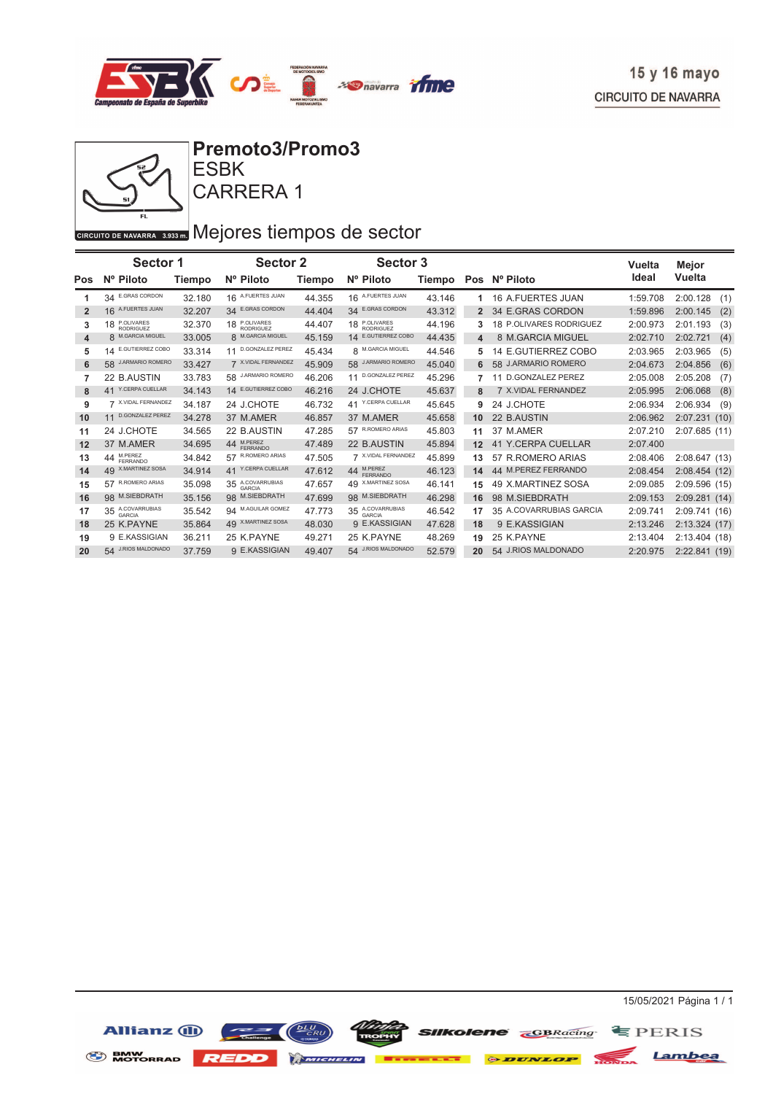



GIRCUITO DE NAVARRA 3.933 DI Mejores tiempos de sector

|                | <b>Sector 1</b>               |        | <b>Sector 2</b>            |        | <b>Sector 3</b>               |        |    |                               | Vuelta   | Mejor            |
|----------------|-------------------------------|--------|----------------------------|--------|-------------------------------|--------|----|-------------------------------|----------|------------------|
| Pos            | Nº Piloto                     | Tiempo | Nº Piloto                  | Tiempo | Nº Piloto                     | Tiempo |    | Pos Nº Piloto                 | Ideal    | Vuelta           |
|                | 34 E.GRAS CORDON              | 32.180 | 16 A.FUERTES JUAN          | 44.355 | 16 A.FUERTES JUAN             | 43.146 | 1  | <b>16 A.FUERTES JUAN</b>      | 1:59.708 | 2:00.128<br>(1)  |
| $\overline{2}$ | 16 A.FUERTES JUAN             | 32.207 | <b>E.GRAS CORDON</b><br>34 | 44.404 | <b>E.GRAS CORDON</b><br>34    | 43.312 |    | 34 E.GRAS CORDON              | 1:59.896 | 2:00.145<br>(2)  |
| 3              | 18 P.OLIVARES                 | 32.370 | 18 P.OLIVARES              | 44.407 | P.OLIVARES<br>RODRIGUEZ<br>18 | 44.196 | 3  | 18 P.OLIVARES RODRIGUEZ       | 2:00.973 | 2:01.193<br>(3)  |
| 4              | 8 M.GARCIA MIGUEL             | 33.005 | 8 M.GARCIA MIGUEL          | 45.159 | E.GUTIERREZ COBO<br>14        | 44.435 | 4  | 8 M.GARCIA MIGUEL             | 2:02.710 | 2:02.721<br>(4)  |
| 5              | 14 E.GUTIERREZ COBO           | 33.314 | 11 D.GONZALEZ PEREZ        | 45.434 | 8 M.GARCIA MIGUEL             | 44.546 | 5  | 14 E.GUTIERREZ COBO           | 2:03.965 | 2:03.965<br>(5)  |
| 6              | 58 J.ARMARIO ROMERO           | 33.427 | 7 X.VIDAL FERNANDEZ        | 45.909 | <b>J.ARMARIO ROMERC</b><br>58 | 45.040 | 6  | 58 J.ARMARIO ROMERO           | 2:04.673 | (6)<br>2:04.856  |
| 7              | 22 B.AUSTIN                   | 33.783 | 58 J.ARMARIO ROMERO        | 46.206 | D.GONZALEZ PEREZ              | 45.296 |    | <b>D.GONZALEZ PEREZ</b><br>11 | 2:05.008 | 2:05.208<br>(7)  |
| 8              | 41 Y.CERPA CUELLAR            | 34.143 | 14 E.GUTIERREZ COBO        | 46.216 | 24 J.CHOTE                    | 45.637 | 8  | 7 X.VIDAL FERNANDEZ           | 2:05.995 | 2:06.068<br>(8)  |
| 9              | 7 X.VIDAL FERNANDEZ           | 34.187 | 24 J.CHOTE                 | 46.732 | 41 Y.CERPA CUELLAR            | 45.645 | 9  | 24 J.CHOTE                    | 2:06.934 | 2:06.934<br>(9)  |
| 10             | <b>D.GONZALEZ PEREZ</b><br>11 | 34.278 | 37 M.AMER                  | 46.857 | 37 M.AMER                     | 45.658 | 10 | 22 B.AUSTIN                   | 2:06.962 | 2:07.231<br>(10) |
| 11             | 24 J.CHOTE                    | 34.565 | 22 B.AUSTIN                | 47.285 | 57 R.ROMERO ARIAS             | 45.803 | 11 | 37 M.AMER                     | 2:07.210 | 2:07.685 (11)    |
| 12             | 37 M.AMER                     | 34.695 | 44 M.PEREZ                 | 47.489 | 22 B.AUSTIN                   | 45.894 | 12 | 41 Y.CERPA CUELLAR            | 2:07.400 |                  |
| 13             | 44 M.PEREZ                    | 34.842 | R.ROMERO ARIAS<br>57       | 47.505 | 7 X.VIDAL FERNANDEZ           | 45.899 | 13 | 57 R.ROMERO ARIAS             | 2:08.406 | 2:08.647(13)     |
| 14             | 49 X.MARTINEZ SOSA            | 34.914 | Y.CERPA CUELLAR<br>41      | 47.612 | M.PEREZ<br>44<br>FERRANDO     | 46.123 | 14 | 44 M.PEREZ FERRANDO           | 2:08.454 | 2:08.454(12)     |
| 15             | 57 R.ROMERO ARIAS             | 35.098 | 35 A.COVARRUBIAS           | 47.657 | 49 X.MARTINEZ SOSA            | 46.141 | 15 | 49 X.MARTINEZ SOSA            | 2:09.085 | 2:09.596 (15)    |
| 16             | 98 M.SIEBDRATH                | 35.156 | 98 M.SIEBDRATH             | 47.699 | 98 M.SIEBDRATH                | 46.298 | 16 | 98 M.SIEBDRATH                | 2:09.153 | 2:09.281(14)     |
| 17             | 35 A.COVARRUBIAS              | 35.542 | 94 M.AGUILAR GOMEZ         | 47.773 | 35 A.COVARRUBIAS              | 46.542 | 17 | 35 A.COVARRUBIAS GARCIA       | 2:09.741 | 2:09.741 (16)    |
| 18             | 25 K.PAYNE                    | 35.864 | 49 X.MARTINEZ SOSA         | 48.030 | 9 E.KASSIGIAN                 | 47.628 | 18 | 9 E.KASSIGIAN                 | 2:13.246 | 2:13.324 (17)    |
| 19             | 9 E.KASSIGIAN                 | 36.211 | 25 K.PAYNE                 | 49.271 | 25 K.PAYNE                    | 48.269 | 19 | 25 K.PAYNE                    | 2:13.404 | 2:13.404 (18)    |
| 20             | 54 J.RIOS MALDONADO           | 37.759 | 9 E.KASSIGIAN              | 49.407 | 54 J.RIOS MALDONADO           | 52.579 | 20 | 54 J.RIOS MALDONADO           | 2:20.975 | 2:22.841 (19)    |

S BMW REDD REDD EMIGRELLY SUUNLOP HONDA Lambea

SIIKolene **CBRacing** EPERIS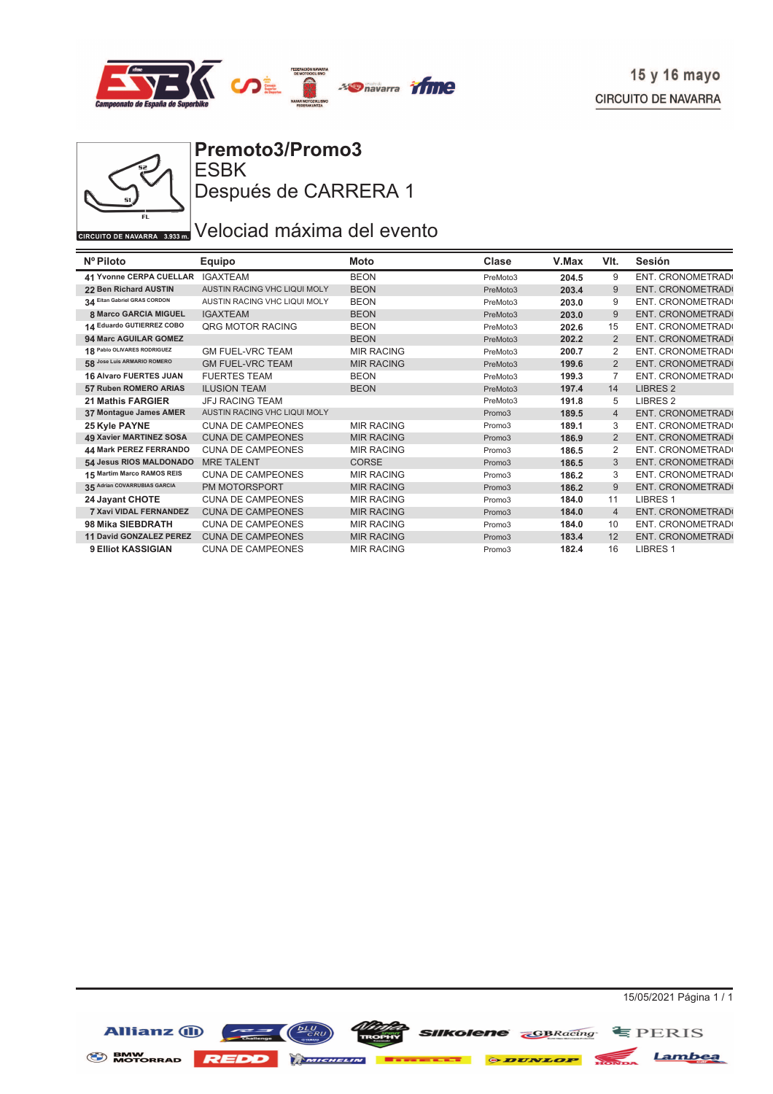



ESBK **Premoto3/Promo3** Después de CARRERA 1

### GIRCUITO DE NAVARRA 3.933 DI Velociad máxima del evento

| Nº Piloto                      | <b>Equipo</b>                       | Moto              | Clase    | V.Max | VIt.           | Sesión              |
|--------------------------------|-------------------------------------|-------------------|----------|-------|----------------|---------------------|
| 41 Yvonne CERPA CUELLAR        | <b>IGAXTEAM</b>                     | <b>BEON</b>       | PreMoto3 | 204.5 | 9              | ENT. CRONOMETRAD(   |
| 22 Ben Richard AUSTIN          | <b>AUSTIN RACING VHC LIQUI MOLY</b> | <b>BEON</b>       | PreMoto3 | 203.4 | 9              | ENT. CRONOMETRAD    |
| 34 Eitan Gabriel GRAS CORDON   | AUSTIN RACING VHC LIQUI MOLY        | <b>BEON</b>       | PreMoto3 | 203.0 | 9              | ENT. CRONOMETRAD    |
| <b>8 Marco GARCIA MIGUEL</b>   | <b>IGAXTEAM</b>                     | <b>BEON</b>       | PreMoto3 | 203.0 | 9              | ENT. CRONOMETRAD    |
| 14 Eduardo GUTIERREZ COBO      | QRG MOTOR RACING                    | <b>BEON</b>       | PreMoto3 | 202.6 | 15             | ENT. CRONOMETRAD(   |
| 94 Marc AGUILAR GOMEZ          |                                     | <b>BEON</b>       | PreMoto3 | 202.2 | 2              | ENT. CRONOMETRAD    |
| 18 Pablo OLIVARES RODRIGUEZ    | <b>GM FUEL-VRC TEAM</b>             | <b>MIR RACING</b> | PreMoto3 | 200.7 | 2              | ENT. CRONOMETRAD(   |
| 58 Jose Luis ARMARIO ROMERO    | <b>GM FUEL-VRC TEAM</b>             | <b>MIR RACING</b> | PreMoto3 | 199.6 | 2              | ENT. CRONOMETRAD    |
| 16 Alvaro FUERTES JUAN         | <b>FUERTES TEAM</b>                 | <b>BEON</b>       | PreMoto3 | 199.3 | 7              | ENT. CRONOMETRAD(   |
| 57 Ruben ROMERO ARIAS          | <b>ILUSION TEAM</b>                 | <b>BEON</b>       | PreMoto3 | 197.4 | 14             | <b>LIBRES 2</b>     |
| <b>21 Mathis FARGIER</b>       | <b>JFJ RACING TEAM</b>              |                   | PreMoto3 | 191.8 | 5              | LIBRES <sub>2</sub> |
| 37 Montague James AMER         | AUSTIN RACING VHC LIQUI MOLY        |                   | Promo3   | 189.5 | $\overline{4}$ | ENT. CRONOMETRAD    |
| 25 Kyle PAYNE                  | <b>CUNA DE CAMPEONES</b>            | <b>MIR RACING</b> | Promo3   | 189.1 | 3              | ENT. CRONOMETRAD(   |
| 49 Xavier MARTINEZ SOSA        | <b>CUNA DE CAMPEONES</b>            | <b>MIR RACING</b> | Promo3   | 186.9 | 2              | ENT. CRONOMETRAD    |
| 44 Mark PEREZ FERRANDO         | <b>CUNA DE CAMPEONES</b>            | <b>MIR RACING</b> | Promo3   | 186.5 | 2              | ENT. CRONOMETRAD(   |
| 54 Jesus RIOS MALDONADO        | <b>MRE TALENT</b>                   | CORSE             | Promo3   | 186.5 | 3              | ENT. CRONOMETRAD    |
| 15 Martim Marco RAMOS REIS     | <b>CUNA DE CAMPEONES</b>            | <b>MIR RACING</b> | Promo3   | 186.2 | 3              | ENT. CRONOMETRAD(   |
| 35 Adrian COVARRUBIAS GARCIA   | <b>PM MOTORSPORT</b>                | <b>MIR RACING</b> | Promo3   | 186.2 | 9              | ENT. CRONOMETRAD(   |
| 24 Jayant CHOTE                | <b>CUNA DE CAMPEONES</b>            | <b>MIR RACING</b> | Promo3   | 184.0 | 11             | <b>LIBRES 1</b>     |
| <b>7 Xavi VIDAL FERNANDEZ</b>  | <b>CUNA DE CAMPEONES</b>            | <b>MIR RACING</b> | Promo3   | 184.0 | $\overline{4}$ | ENT. CRONOMETRAD    |
| 98 Mika SIEBDRATH              | <b>CUNA DE CAMPEONES</b>            | <b>MIR RACING</b> | Promo3   | 184.0 | 10             | ENT. CRONOMETRAD(   |
| <b>11 David GONZALEZ PEREZ</b> | <b>CUNA DE CAMPEONES</b>            | <b>MIR RACING</b> | Promo3   | 183.4 | 12             | ENT. CRONOMETRAD    |
| 9 Elliot KASSIGIAN             | <b>CUNA DE CAMPEONES</b>            | <b>MIR RACING</b> | Promo3   | 182.4 | 16             | <b>LIBRES 1</b>     |

15/05/2021 Página 1 / 1

**SIIKolene GBRacing** EPERIS

Allianz (ii)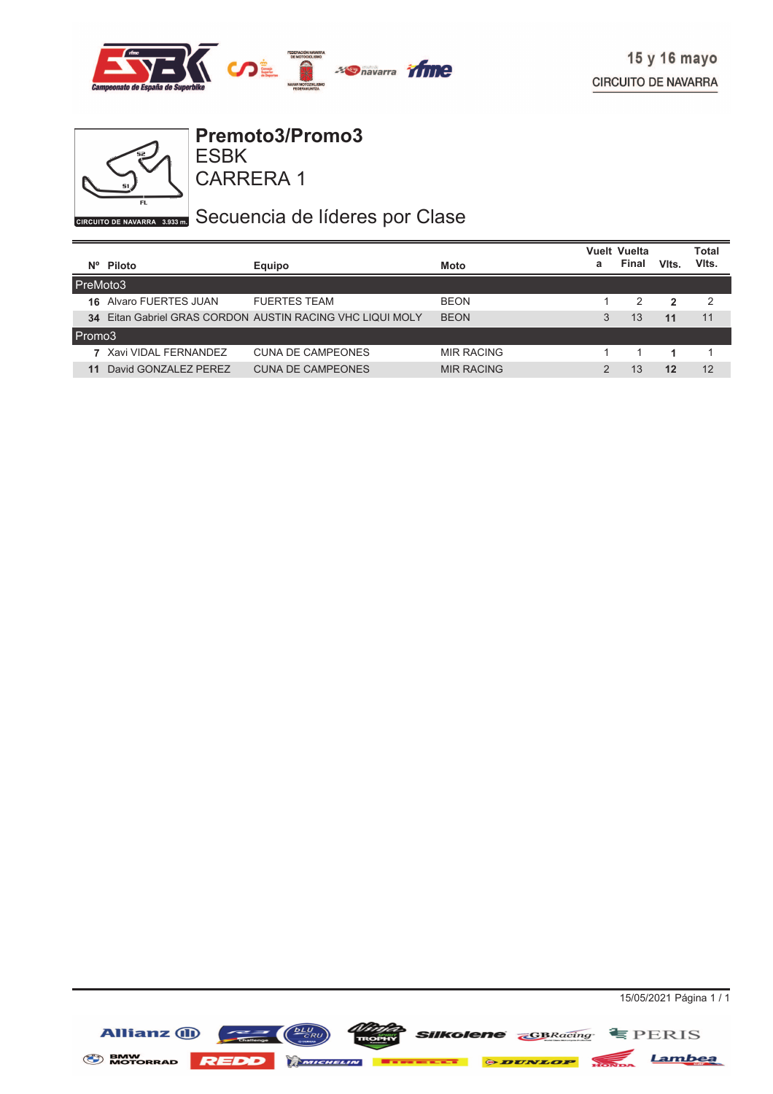



**Premoto3/Promo3**

CARRERA 1 ESBK

GIRCUITO DE NAVARRA 3.935 DI Secuencia de líderes por Clase

|          |                        |                                                        |                   |   | <b>Vuelt Vuelta</b> |              | Total |
|----------|------------------------|--------------------------------------------------------|-------------------|---|---------------------|--------------|-------|
|          | Nº Piloto              | Equipo                                                 | Moto              | а | Final               | Vits.        | VIts. |
| PreMoto3 |                        |                                                        |                   |   |                     |              |       |
| 16       | Alvaro FUERTES JUAN    | <b>FUERTES TEAM</b>                                    | <b>BEON</b>       |   | 2                   | $\mathbf{2}$ | -2    |
| 34       |                        | Eitan Gabriel GRAS CORDON AUSTIN RACING VHC LIQUI MOLY | <b>BEON</b>       | 3 | 13                  | 11           | 11    |
| Promo3   |                        |                                                        |                   |   |                     |              |       |
|          | 7 Xavi VIDAL FFRNANDFZ | <b>CUNA DE CAMPEONES</b>                               | <b>MIR RACING</b> |   |                     |              |       |
| 11       | David GONZALEZ PEREZ   | <b>CUNA DE CAMPEONES</b>                               | <b>MIR RACING</b> | C | 13                  | 12           | 12    |

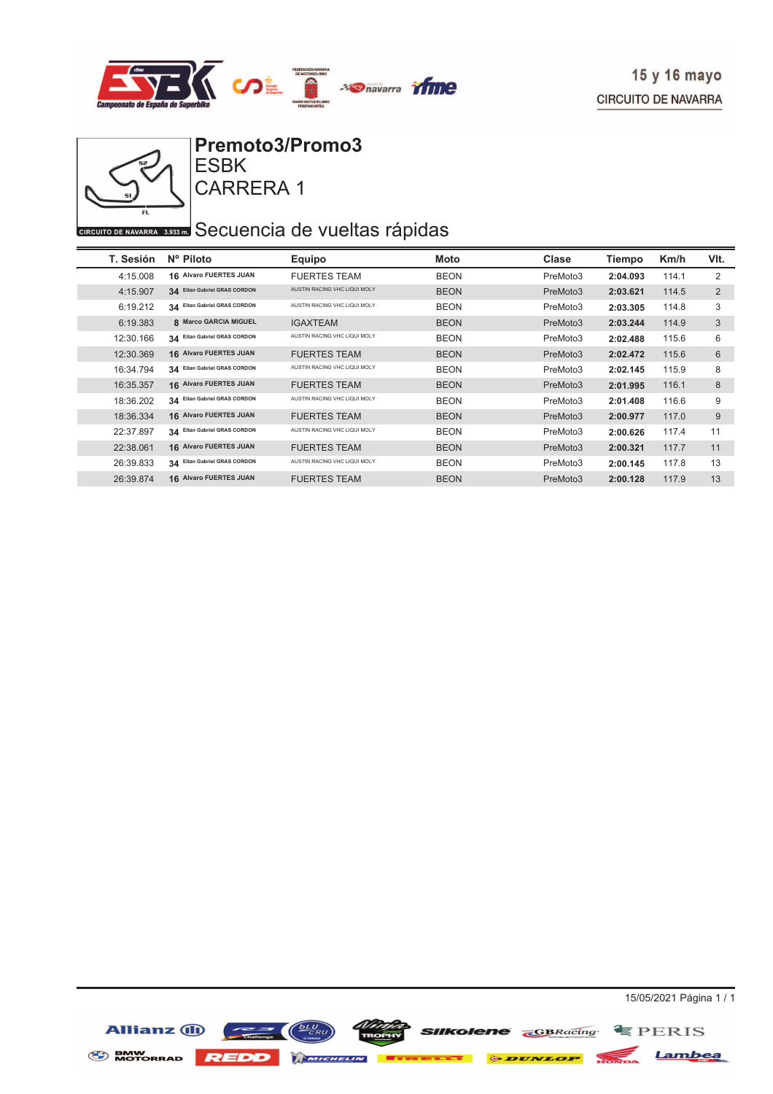



CARRERA 1

## **CIRCUITO DE NAVARRA 3533 ED** Secuencia de vueltas rápidas

| T. Sesión | Nº Piloto                     | Equipo                       | Moto        | Clase    | Tiempo   | Km/h  | VIt.           |
|-----------|-------------------------------|------------------------------|-------------|----------|----------|-------|----------------|
| 4:15.008  | <b>16 Alvaro FUERTES JUAN</b> | <b>FUERTES TEAM</b>          | <b>BEON</b> | PreMoto3 | 2:04.093 | 114.1 | 2              |
| 4:15.907  | 34 Eltan Gabriel GRAS CORDON  | AUSTIN RACING VHC LIQUI MOLY | <b>BEON</b> | PreMoto3 | 2:03.621 | 114.5 | $\overline{2}$ |
| 6:19.212  | 34 Eitan Gabriel GRAS CORDON  | AUSTIN RACING VHC LIQUI MOLY | <b>BEON</b> | PreMoto3 | 2:03.305 | 114.8 | 3              |
| 6:19.383  | 8 Marco GARCIA MIGUEL         | <b>IGAXTEAM</b>              | <b>BEON</b> | PreMoto3 | 2:03.244 | 114.9 | 3              |
| 12:30.166 | 34 Eitan Gabriel GRAS CORDON  | AUSTIN RACING VHC LIQUI MOLY | <b>BEON</b> | PreMoto3 | 2:02.488 | 115.6 | 6              |
| 12:30.369 | <b>16 Alvaro FUERTES JUAN</b> | <b>FUERTES TEAM</b>          | <b>BEON</b> | PreMoto3 | 2:02.472 | 115.6 | 6              |
| 16:34.794 | 34 Eitan Gabriel GRAS CORDON  | AUSTIN RACING VHC LIQUI MOLY | <b>BEON</b> | PreMoto3 | 2:02.145 | 115.9 | 8              |
| 16:35.357 | 16 Alvaro FUERTES JUAN        | <b>FUERTES TEAM</b>          | <b>BEON</b> | PreMoto3 | 2:01.995 | 116.1 | 8              |
| 18:36.202 | 34 Eitan Gabriel GRAS CORDON  | AUSTIN RACING VHC LIQUI MOLY | <b>BEON</b> | PreMoto3 | 2:01.408 | 116.6 | 9              |
| 18:36.334 | 16 Alvaro FUERTES JUAN        | <b>FUERTES TEAM</b>          | <b>BEON</b> | PreMoto3 | 2:00.977 | 117.0 | 9              |
| 22:37.897 | 34 Eitan Gabriel GRAS CORDON  | AUSTIN RACING VHC LIQUI MOLY | <b>BEON</b> | PreMoto3 | 2:00.626 | 117.4 | 11             |
| 22:38.061 | <b>16 Alvaro FUERTES JUAN</b> | <b>FUERTES TEAM</b>          | <b>BEON</b> | PreMoto3 | 2:00.321 | 117.7 | 11             |
| 26:39.833 | 34 Eitan Gabriel GRAS CORDON  | AUSTIN RACING VHC LIQUI MOLY | <b>BEON</b> | PreMoto3 | 2:00.145 | 117.8 | 13             |
| 26:39.874 | 16 Alvaro FUERTES JUAN        | <b>FUERTES TEAM</b>          | <b>BEON</b> | PreMoto3 | 2:00.128 | 117.9 | 13             |

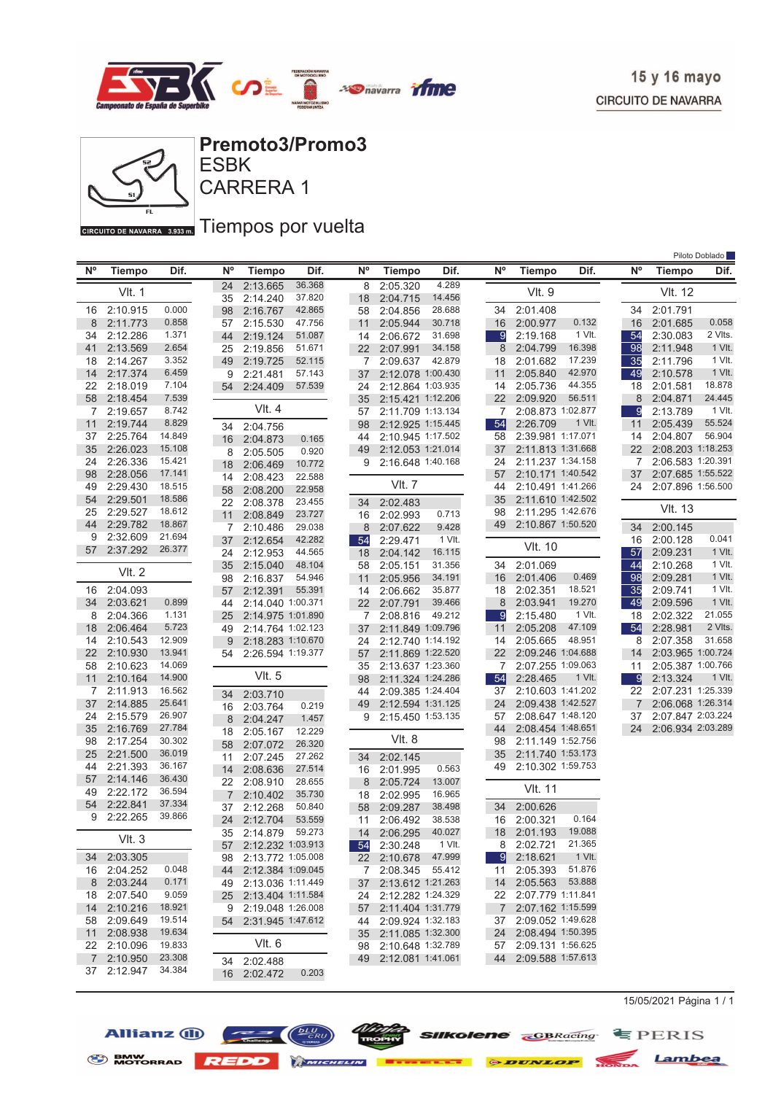

Piloto Doblado



ESBK **Premoto3/Promo3**

CARRERA 1

GIRCUITO DE NAVARRA 3.933mm Tiempos por vuelta

| <b>N°</b> | <b>Tiempo</b>        | Dif.             | <b>N°</b> | <b>Tiempo</b>        | Dif.             | <b>N°</b> | <b>Tiempo</b>                                | Dif.            | <b>N°</b>      | <b>Tiempo</b>                             | Dif.   | <b>N°</b>      | <b>Tiempo</b>     | Dif.    |
|-----------|----------------------|------------------|-----------|----------------------|------------------|-----------|----------------------------------------------|-----------------|----------------|-------------------------------------------|--------|----------------|-------------------|---------|
|           | <b>VIt. 1</b>        |                  | 24<br>35  | 2:13.665<br>2:14.240 | 36.368<br>37.820 | 8<br>18   | 2:05.320<br>2:04.715                         | 4.289<br>14.456 |                | <b>VIt. 9</b>                             |        |                | <b>VIt. 12</b>    |         |
| 16        | 2:10.915             | 0.000            | 98        | 2:16.767             | 42.865           | 58        | 2:04.856                                     | 28.688          | 34             | 2:01.408                                  |        | 34             | 2:01.791          |         |
| 8         | 2:11.773             | 0.858            | 57        | 2:15.530             | 47.756           | 11        | 2:05.944                                     | 30.718          | 16             | 2:00.977                                  | 0.132  | 16             | 2:01.685          | 0.058   |
| 34        | 2:12.286             | 1.371            | 44        | 2:19.124             | 51.087           | 14        | 2:06.672                                     | 31.698          | 9              | 2:19.168                                  | 1 VIt. | 54             | 2:30.083          | 2 Vlts. |
| 41        | 2:13.569             | 2.654            | 25        | 2:19.856             | 51.671           | 22        | 2:07.991                                     | 34.158          | 8              | 2:04.799                                  | 16.398 | 98             | 2:11.948          | 1 VIt.  |
| 18        | 2:14.267             | 3.352            | 49        | 2:19.725             | 52.115           | 7         | 2:09.637                                     | 42.879          | 18             | 2:01.682                                  | 17.239 | 35             | 2:11.796          | 1 VIt.  |
| 14        | 2:17.374             | 6.459            | 9         | 2:21.481             | 57.143           | 37        | 2:12.078 1:00.430                            |                 | 11             | 2:05.840                                  | 42.970 | 49             | 2:10.578          | 1 VIt.  |
| 22        | 2:18.019             | 7.104            | 54        | 2:24.409             | 57.539           | 24        | 2:12.864 1:03.935                            |                 | 14             | 2:05.736                                  | 44.355 | 18             | 2:01.581          | 18.878  |
| 58        | 2:18.454             | 7.539            |           |                      |                  | 35        | 2:15.421 1:12.206                            |                 | 22             | 2:09.920                                  | 56.511 | 8              | 2:04.871          | 24.445  |
| 7         | 2:19.657             | 8.742            |           | $V$ lt. 4            |                  | 57        | 2:11.709 1:13.134                            |                 | 7              | 2:08.873 1:02.877                         |        | 9              | 2:13.789          | 1 VIt.  |
| 11        | 2:19.744             | 8.829            | 34        | 2:04.756             |                  | 98        | 2:12.925 1:15.445                            |                 | 54             | 2:26.709                                  | 1 VIt. | 11             | 2:05.439          | 55.524  |
| 37        | 2:25.764             | 14.849           | 16        | 2:04.873             | 0.165            | 44        | 2:10.945 1:17.502                            |                 | 58             | 2:39.981 1:17.071                         |        | 14             | 2:04.807          | 56.904  |
| 35        | 2:26.023             | 15.108           | 8         | 2:05.505             | 0.920            | 49        | 2:12.053 1:21.014                            |                 | 37             | 2:11.813 1:31.668                         |        | 22             | 2:08.203 1:18.253 |         |
| 24        | 2:26.336             | 15.421           | 18        | 2:06.469             | 10.772           | 9         | 2:16.648 1:40.168                            |                 | 24             | 2:11.237 1:34.158                         |        | 7              | 2:06.583 1:20.391 |         |
| 98        | 2:28.056             | 17.141           | 14        | 2:08.423             | 22.588           |           |                                              |                 | 57             | 2:10.171 1:40.542                         |        | 37             | 2:07.685 1:55.522 |         |
| 49        | 2:29.430             | 18.515           | 58        | 2:08.200             | 22.958           |           | <b>VIt. 7</b>                                |                 | 44             | 2:10.491 1:41.266                         |        | 24             | 2:07.896 1:56.500 |         |
| 54        | 2:29.501             | 18.586           | 22        | 2:08.378             | 23.455           | 34        | 2:02.483                                     |                 | 35             | 2:11.610 1:42.502                         |        |                |                   |         |
| 25        | 2:29.527             | 18.612           | 11        | 2:08.849             | 23.727           |           | 16 2:02.993                                  | 0.713           | 98             | 2:11.295 1:42.676                         |        |                | <b>VIt. 13</b>    |         |
| 44        | 2:29.782             | 18.867           | 7         | 2:10.486             | 29.038           | 8         | 2:07.622                                     | 9.428           | 49             | 2:10.867 1:50.520                         |        | 34             | 2:00.145          |         |
| 9         | 2:32.609             | 21.694           | 37        | 2:12.654             | 42.282           | 54        | 2:29.471                                     | 1 VIt.          |                |                                           |        | 16             | 2:00.128          | 0.041   |
| 57        | 2:37.292             | 26.377           | 24        | 2:12.953             | 44.565           | 18        | 2:04.142                                     | 16.115          |                | <b>VIt. 10</b>                            |        | 57             | 2:09.231          | 1 VIt.  |
|           |                      |                  | 35        | 2:15.040             | 48.104           | 58        | 2:05.151                                     | 31.356          | 34             | 2:01.069                                  |        | 44             | 2:10.268          | 1 VIt.  |
|           | <b>VIt. 2</b>        |                  | 98        | 2:16.837             | 54.946           | 11        | 2:05.956                                     | 34.191          | 16             | 2:01.406                                  | 0.469  | 98             | 2:09.281          | 1 VIt.  |
|           | 16 2:04.093          |                  | 57        | 2:12.391             | 55.391           | 14        | 2:06.662                                     | 35.877          | 18             | 2:02.351                                  | 18.521 | 35             | 2:09.741          | 1 VIt.  |
| 34        | 2:03.621             | 0.899            | 44        | 2:14.040 1:00.371    |                  | 22        | 2:07.791                                     | 39.466          | 8              | 2:03.941                                  | 19.270 | 49             | 2:09.596          | 1 VIt.  |
| 8         | 2:04.366             | 1.131            | 25        | 2:14.975 1:01.890    |                  | 7.        | 2:08.816                                     | 49.212          | -9             | 2:15.480                                  | 1 VIt. | 18             | 2:02.322          | 21.055  |
| 18        | 2:06.464             | 5.723            | 49        | 2:14.764 1:02.123    |                  | 37        | 2:11.849 1:09.796                            |                 | 11             | 2:05.208                                  | 47.109 | 54             | 2:28.981          | 2 Vlts. |
| 14        | 2:10.543             | 12.909           | 9         | 2:18.283 1:10.670    |                  | 24        | 2:12.740 1:14.192                            |                 | 14             | 2:05.665                                  | 48.951 | 8              | 2:07.358          | 31.658  |
| 22        | 2:10.930             | 13.941           | 54        | 2:26.594 1:19.377    |                  | 57        | 2:11.869 1:22.520                            |                 | 22             | 2:09.246 1:04.688                         |        | 14             | 2:03.965 1:00.724 |         |
| 58        | 2:10.623             | 14.069           |           |                      |                  | 35        | 2:13.637 1:23.360                            |                 | 7              | 2:07.255 1:09.063                         |        | 11             | 2:05.387 1:00.766 |         |
| 11        | 2:10.164             | 14.900           |           | VIt. 5               |                  | 98        | 2:11.324 1:24.286                            |                 | 54             | 2:28.465                                  | 1 VIt. | 9              | 2:13.324          | 1 VIt.  |
| 7         | 2:11.913             | 16.562           | 34        | 2:03.710             |                  | 44        | 2:09.385 1:24.404                            |                 | 37             | 2:10.603 1:41.202                         |        | 22             | 2:07.231 1:25.339 |         |
| 37        | 2:14.885             | 25.641           | 16        | 2:03.764             | 0.219            | 49        | 2:12.594 1:31.125                            |                 | 24             | 2:09.438 1:42.527                         |        | $\overline{7}$ | 2:06.068 1:26.314 |         |
| 24        | 2:15.579             | 26.907           | 8         | 2:04.247             | 1.457            | 9         | 2:15.450 1:53.135                            |                 | 57             | 2:08.647 1:48.120                         |        | 37             | 2:07.847 2:03.224 |         |
| 35        | 2:16.769             | 27.784           | 18        | 2:05.167             | 12.229           |           |                                              |                 | 44             | 2:08.454 1:48.651                         |        | 24             | 2:06.934 2:03.289 |         |
| 98        | 2:17.254             | 30.302           | 58        | 2:07.072             | 26.320           |           | VIt. 8                                       |                 | 98             | 2:11.149 1:52.756                         |        |                |                   |         |
| 25        | 2:21.500             | 36.019           | 11        | 2:07.245             | 27.262           | 34        | 2:02.145                                     |                 | 35             | 2:11.740 1:53.173                         |        |                |                   |         |
| 44        | 2:21.393             | 36.167<br>36.430 | 14        | 2:08.636             | 27.514           | 16        | 2:01.995                                     | 0.563           | 49             | 2:10.302 1:59.753                         |        |                |                   |         |
| 57        | 2:14.146             | 36.594           | 22        | 2:08.910             | 28.655           | 8         | 2:05.724                                     | 13.007          |                | <b>VIt. 11</b>                            |        |                |                   |         |
| 49        | 2:22.172             | 37.334           | 7         | 2:10.402             | 35.730           | 18        | 2:02.995                                     | 16.965          |                |                                           |        |                |                   |         |
| 54<br>9   | 2:22.841<br>2:22.265 | 39.866           | 37        | 2:12.268             | 50.840           | 58        | 2:09.287                                     | 38.498          | 34             | 2:00.626                                  |        |                |                   |         |
|           |                      |                  | 24        | 2:12.704             | 53.559           | 11        | 2:06.492                                     | 38.538          | 16             | 2:00.321                                  | 0.164  |                |                   |         |
|           | Vlt.3                |                  | 35        | 2:14.879             | 59.273           | 14        | 2:06.295                                     | 40.027          | 18             | 2:01.193                                  | 19.088 |                |                   |         |
|           |                      |                  |           | 57 2:12.232 1:03.913 |                  |           | 54 2:30.248 1 Vlt.                           |                 |                | 8 2:02.721 21.365                         |        |                |                   |         |
|           | 34 2:03.305          |                  |           | 98 2:13.772 1:05.008 |                  |           | 22 2:10.678 47.999                           |                 | -91            | 2:18.621                                  | 1 VIt. |                |                   |         |
|           | 16 2:04.252          | 0.048            |           | 44 2:12.384 1:09.045 |                  |           | 7 2:08.345 55.412                            |                 | 11             | 2:05.393                                  | 51.876 |                |                   |         |
|           | 8 2:03.244           | 0.171            |           | 49 2:13.036 1:11.449 |                  |           | 37 2:13.612 1:21.263                         |                 | 14             | 2:05.563 53.888                           |        |                |                   |         |
|           | 18 2:07.540          | 9.059            | 25 -      | 2:13.404 1:11.584    |                  |           | 24 2:12.282 1:24.329                         |                 |                | 22 2:07.779 1:11.841                      |        |                |                   |         |
| 14        | 2:10.216             | 18.921<br>19.514 |           | 9 2:19.048 1:26.008  |                  |           | 57 2:11.404 1:31.779                         |                 | $\overline{7}$ | 2:07.162 1:15.599<br>2:09.052 1:49.628    |        |                |                   |         |
| 58        | 2:09.649<br>2:08.938 | 19.634           |           | 54 2:31.945 1:47.612 |                  |           | 44 2:09.924 1:32.183                         |                 | 37             |                                           |        |                |                   |         |
| 11        | 22 2:10.096          | 19.833           |           | Vlt. 6               |                  |           | 35 2:11.085 1:32.300<br>98 2:10.648 1:32.789 |                 | 24             | 2:08.494 1:50.395<br>57 2:09.131 1:56.625 |        |                |                   |         |
| 7         | 2:10.950             | 23.308           |           |                      |                  |           | 49 2:12.081 1:41.061                         |                 | 44             | 2:09.588 1:57.613                         |        |                |                   |         |
|           | 37 2:12.947          | 34.384           |           | 34 2:02.488          |                  |           |                                              |                 |                |                                           |        |                |                   |         |
|           |                      |                  |           | 16 2:02.472          | 0.203            |           |                                              |                 |                |                                           |        |                |                   |         |

15/05/2021 Página 1 / 1







*Ntufa* **SIIKolene GBRacing E** PERIS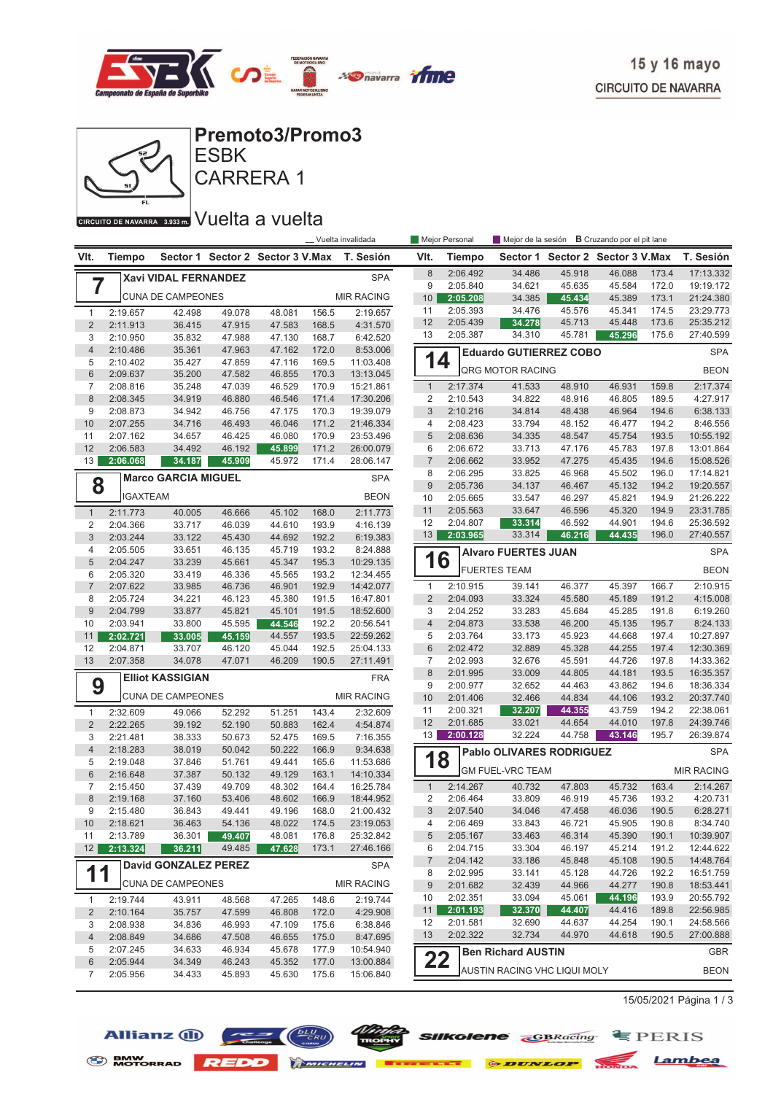



**Premoto3/Promo3**

CARRERA 1 **ESBK** 

### CIRCUITO DE NAVARRA 3.933 m. VUelta a vuelta

|                     |                      | _ Vuelta invalidada<br>Mejor Personal |                  |                                  |                |                        |                     |                      | <b>B</b> Cruzando por el pit lane<br>Mejor de la sesión |                                  |                  |                |                        |
|---------------------|----------------------|---------------------------------------|------------------|----------------------------------|----------------|------------------------|---------------------|----------------------|---------------------------------------------------------|----------------------------------|------------------|----------------|------------------------|
| VIt.                | <b>Tiempo</b>        |                                       |                  | Sector 1 Sector 2 Sector 3 V.Max |                | T. Sesión              | VIt.                | Tiempo               |                                                         | Sector 1 Sector 2 Sector 3 V.Max |                  |                | T. Sesión              |
|                     |                      | Xavi VIDAL FERNANDEZ                  |                  |                                  |                | <b>SPA</b>             | 8                   | 2:06.492             | 34.486                                                  | 45.918                           | 46.088           | 173.4          | 17:13.332              |
| 7                   |                      |                                       |                  |                                  |                |                        | 9                   | 2:05.840             | 34.621                                                  | 45.635                           | 45.584           | 172.0          | 19:19.172              |
|                     |                      | <b>CUNA DE CAMPEONES</b>              |                  |                                  |                | <b>MIR RACING</b>      | 10                  | 2:05.208             | 34.385                                                  | 45.434                           | 45.389           | 173.1          | 21:24.380              |
| $\mathbf{1}$        | 2:19.657             | 42.498                                | 49.078           | 48.081                           | 156.5          | 2:19.657               | 11                  | 2:05.393             | 34.476                                                  | 45.576                           | 45.341           | 174.5          | 23:29.773              |
| $\overline{2}$      | 2:11.913             | 36.415                                | 47.915           | 47.583                           | 168.5          | 4:31.570               | 12                  | 2:05.439             | 34.278<br>34.310                                        | 45.713                           | 45.448<br>45.296 | 173.6          | 25:35.212              |
| 3                   | 2:10.950             | 35.832                                | 47.988           | 47.130                           | 168.7          | 6:42.520               | 13                  | 2:05.387             |                                                         | 45.781                           |                  | 175.6          | 27:40.599              |
| $\overline{4}$<br>5 | 2:10.486<br>2:10.402 | 35.361<br>35.427                      | 47.963<br>47.859 | 47.162<br>47.116                 | 172.0<br>169.5 | 8:53.006<br>11:03.408  | 14                  |                      | <b>Eduardo GUTIERREZ COBO</b>                           |                                  |                  |                | <b>SPA</b>             |
| $6\phantom{1}$      | 2:09.637             | 35.200                                | 47.582           | 46.855                           | 170.3          | 13:13.045              |                     |                      | QRG MOTOR RACING                                        |                                  |                  |                | <b>BEON</b>            |
| $\overline{7}$      | 2:08.816             | 35.248                                | 47.039           | 46.529                           | 170.9          | 15:21.861              | $\mathbf{1}$        | 2:17.374             | 41.533                                                  | 48.910                           | 46.931           | 159.8          | 2:17.374               |
| $\,8\,$             | 2:08.345             | 34.919                                | 46.880           | 46.546                           | 171.4          | 17:30.206              | $\overline{2}$      | 2:10.543             | 34.822                                                  | 48.916                           | 46.805           | 189.5          | 4:27.917               |
| 9                   | 2:08.873             | 34.942                                | 46.756           | 47.175                           | 170.3          | 19:39.079              | 3                   | 2:10.216             | 34.814                                                  | 48.438                           | 46.964           | 194.6          | 6:38.133               |
| 10                  | 2:07.255             | 34.716                                | 46.493           | 46.046                           | 171.2          | 21:46.334              | 4                   | 2:08.423             | 33.794                                                  | 48.152                           | 46.477           | 194.2          | 8:46.556               |
| 11                  | 2:07.162             | 34.657                                | 46.425           | 46.080                           | 170.9          | 23:53.496              | $\sqrt{5}$          | 2:08.636             | 34.335                                                  | 48.547                           | 45.754           | 193.5          | 10:55.192              |
| 12                  | 2:06.583             | 34.492                                | 46.192           | 45.899                           | 171.2          | 26:00.079              | 6<br>$\overline{7}$ | 2:06.672             | 33.713                                                  | 47.176                           | 45.783           | 197.8<br>194.6 | 13:01.864              |
| 13                  | 2:06.068             | 34.187                                | 45.909           | 45.972                           | 171.4          | 28:06.147              | 8                   | 2:06.662<br>2:06.295 | 33.952<br>33.825                                        | 47.275<br>46.968                 | 45.435<br>45.502 | 196.0          | 15:08.526<br>17:14.821 |
| 8                   |                      | <b>Marco GARCIA MIGUEL</b>            |                  |                                  |                | <b>SPA</b>             | 9                   | 2:05.736             | 34.137                                                  | 46.467                           | 45.132           | 194.2          | 19:20.557              |
|                     | <b>IGAXTEAM</b>      |                                       |                  |                                  |                | <b>BEON</b>            | 10                  | 2:05.665             | 33.547                                                  | 46.297                           | 45.821           | 194.9          | 21:26.222              |
| $\mathbf{1}$        | 2:11.773             | 40.005                                | 46.666           | 45.102                           | 168.0          | 2:11.773               | 11                  | 2:05.563             | 33.647                                                  | 46.596                           | 45.320           | 194.9          | 23:31.785              |
| $\overline{2}$      | 2:04.366             | 33.717                                | 46.039           | 44.610                           | 193.9          | 4:16.139               | 12                  | 2:04.807             | 33.314                                                  | 46.592                           | 44.901           | 194.6          | 25:36.592              |
| 3                   | 2:03.244             | 33.122                                | 45.430           | 44.692                           | 192.2          | 6:19.383               | 13                  | 2:03.965             | 33.314                                                  | 46.216                           | 44.435           | 196.0          | 27:40.557              |
| 4                   | 2:05.505             | 33.651                                | 46.135           | 45.719                           | 193.2          | 8:24.888               |                     |                      | <b>Alvaro FUERTES JUAN</b>                              |                                  |                  |                | <b>SPA</b>             |
| 5                   | 2:04.247             | 33.239                                | 45.661           | 45.347                           | 195.3          | 10:29.135              | 16                  |                      | <b>FUERTES TEAM</b>                                     |                                  |                  |                | <b>BEON</b>            |
| 6                   | 2:05.320             | 33.419                                | 46.336           | 45.565                           | 193.2          | 12:34.455              |                     |                      |                                                         |                                  |                  |                |                        |
| $\overline{7}$      | 2:07.622             | 33.985                                | 46.736           | 46.901                           | 192.9          | 14:42.077              | $\mathbf{1}$        | 2:10.915             | 39.141                                                  | 46.377                           | 45.397           | 166.7          | 2:10.915               |
| 8                   | 2:05.724             | 34.221                                | 46.123           | 45.380                           | 191.5          | 16:47.801              | $\overline{2}$      | 2:04.093             | 33.324                                                  | 45.580                           | 45.189           | 191.2          | 4:15.008               |
| $9\,$<br>10         | 2:04.799<br>2:03.941 | 33.877<br>33.800                      | 45.821<br>45.595 | 45.101<br>44.546                 | 191.5<br>192.2 | 18:52.600<br>20:56.541 | 3<br>$\overline{4}$ | 2:04.252<br>2:04.873 | 33.283<br>33.538                                        | 45.684<br>46.200                 | 45.285<br>45.135 | 191.8<br>195.7 | 6:19.260<br>8:24.133   |
| 11                  | 2:02.721             | 33.005                                | 45.159           | 44.557                           | 193.5          | 22:59.262              | 5                   | 2:03.764             | 33.173                                                  | 45.923                           | 44.668           | 197.4          | 10:27.897              |
| 12                  | 2:04.871             | 33.707                                | 46.120           | 45.044                           | 192.5          | 25:04.133              | 6                   | 2:02.472             | 32.889                                                  | 45.328                           | 44.255           | 197.4          | 12:30.369              |
| 13                  | 2:07.358             | 34.078                                | 47.071           | 46.209                           | 190.5          | 27:11.491              | 7                   | 2:02.993             | 32.676                                                  | 45.591                           | 44.726           | 197.8          | 14:33.362              |
|                     |                      | <b>Elliot KASSIGIAN</b>               |                  |                                  |                | <b>FRA</b>             | 8                   | 2:01.995             | 33.009                                                  | 44.805                           | 44.181           | 193.5          | 16:35.357              |
| 9                   |                      |                                       |                  |                                  |                |                        | 9                   | 2:00.977             | 32.652                                                  | 44.463                           | 43.862           | 194.6          | 18:36.334              |
|                     |                      | <b>CUNA DE CAMPEONES</b>              |                  |                                  |                | <b>MIR RACING</b>      | 10                  | 2:01.406             | 32.466                                                  | 44.834                           | 44.106           | 193.2          | 20:37.740              |
| $\mathbf{1}$        | 2:32.609             | 49.066                                | 52.292           | 51.251                           | 143.4          | 2:32.609               | 11                  | 2:00.321             | 32.207                                                  | 44.355                           | 43.759           | 194.2          | 22:38.061              |
| $\overline{2}$      | 2:22.265             | 39.192                                | 52.190           | 50.883                           | 162.4          | 4:54.874               | 12                  | 2:01.685             | 33.021                                                  | 44.654                           | 44.010           | 197.8          | 24:39.746              |
| 3                   | 2:21.481             | 38.333                                | 50.673           | 52.475                           | 169.5          | 7:16.355               | 13                  | 2:00.128             | 32.224                                                  | 44.758                           | 43.146           | 195.7          | 26:39.874              |
| $\overline{4}$<br>5 | 2:18.283             | 38.019                                | 50.042           | 50.222                           | 166.9          | 9:34.638               | 1                   | 8                    | <b>Pablo OLIVARES RODRIGUEZ</b>                         |                                  |                  |                | <b>SPA</b>             |
| $6\phantom{1}$      | 2:19.048<br>2:16.648 | 37.846<br>37.387                      | 51.761<br>50.132 | 49.441<br>49.129                 | 165.6<br>163.1 | 11:53.686<br>14:10.334 |                     |                      | <b>GM FUEL-VRC TEAM</b>                                 |                                  |                  |                | <b>MIR RACING</b>      |
| $\overline{7}$      | 2:15.450             | 37.439                                | 49.709           | 48.302                           | 164.4          | 16:25.784              | $\mathbf{1}$        | 2:14.267             | 40.732                                                  | 47.803                           | 45.732           | 163.4          | 2:14.267               |
| $\bf 8$             | 2:19.168             | 37.160                                | 53.406           | 48.602                           | 166.9          | 18:44.952              | 2                   | 2:06.464             | 33.809                                                  | 46.919                           | 45.736           | 193.2          | 4:20.731               |
| 9                   | 2:15.480             | 36.843                                | 49.441           | 49.196                           | 168.0          | 21:00.432              | 3                   | 2:07.540             | 34.046                                                  | 47.458                           | 46.036           | 190.5          | 6:28.271               |
| 10                  | 2:18.621             | 36.463                                | 54.136           | 48.022                           | 174.5          | 23:19.053              | 4                   | 2:06.469             | 33.843                                                  | 46.721                           | 45.905           | 190.8          | 8:34.740               |
| 11                  | 2:13.789             | 36.301                                | 49.407           | 48.081                           | 176.8          | 25:32.842              | 5                   | 2:05.167             | 33.463                                                  | 46.314                           | 45.390           | 190.1          | 10:39.907              |
| 12                  | 2:13.324             | 36.211                                | 49.485           | 47.628                           | 173.1          | 27:46.166              | 6                   | 2:04.715             | 33.304                                                  | 46.197                           | 45.214           | 191.2          | 12:44.622              |
|                     |                      | <b>David GONZALEZ PEREZ</b>           |                  |                                  |                | <b>SPA</b>             | 7                   | 2:04.142             | 33.186                                                  | 45.848                           | 45.108           | 190.5          | 14:48.764              |
| 11                  |                      | <b>CUNA DE CAMPEONES</b>              |                  |                                  |                | <b>MIR RACING</b>      | 8                   | 2:02.995             | 33.141                                                  | 45.128                           | 44.726           | 192.2          | 16:51.759              |
|                     |                      |                                       |                  |                                  |                |                        | 9                   | 2:01.682             | 32.439                                                  | 44.966<br>45.061                 | 44.277<br>44.196 | 190.8          | 18:53.441<br>20:55.792 |
| $\mathbf{1}$        | 2:19.744             | 43.911                                | 48.568           | 47.265                           | 148.6          | 2:19.744               | 10<br>11            | 2:02.351<br>2:01.193 | 33.094<br>32.370                                        | 44.407                           | 44.416           | 193.9<br>189.8 | 22:56.985              |
| $\overline{2}$<br>3 | 2:10.164<br>2:08.938 | 35.757<br>34.836                      | 47.599<br>46.993 | 46.808<br>47.109                 | 172.0<br>175.6 | 4:29.908<br>6:38.846   | 12                  | 2:01.581             | 32.690                                                  | 44.637                           | 44.254           | 190.1          | 24:58.566              |
| $\overline{4}$      | 2:08.849             | 34.686                                | 47.508           | 46.655                           | 175.0          | 8:47.695               | 13                  | 2:02.322             | 32.734                                                  | 44.970                           | 44.618           | 190.5          | 27:00.888              |
| 5                   | 2:07.245             | 34.633                                | 46.934           | 45.678                           | 177.9          | 10:54.940              |                     |                      | <b>Ben Richard AUSTIN</b>                               |                                  |                  |                | <b>GBR</b>             |
| $\,6$               | 2:05.944             | 34.349                                | 46.243           | 45.352                           | 177.0          | 13:00.884              | 22                  |                      |                                                         |                                  |                  |                |                        |
| 7                   | 2:05.956             | 34.433                                | 45.893           | 45.630                           | 175.6          | 15:06.840              |                     |                      | AUSTIN RACING VHC LIQUI MOLY                            |                                  |                  |                | <b>BEON</b>            |

 $15/05/2021$  Página 1 / 3





S BMW REDD MICHELIN **BERKELLE & DUNLOP** MONDA Lambea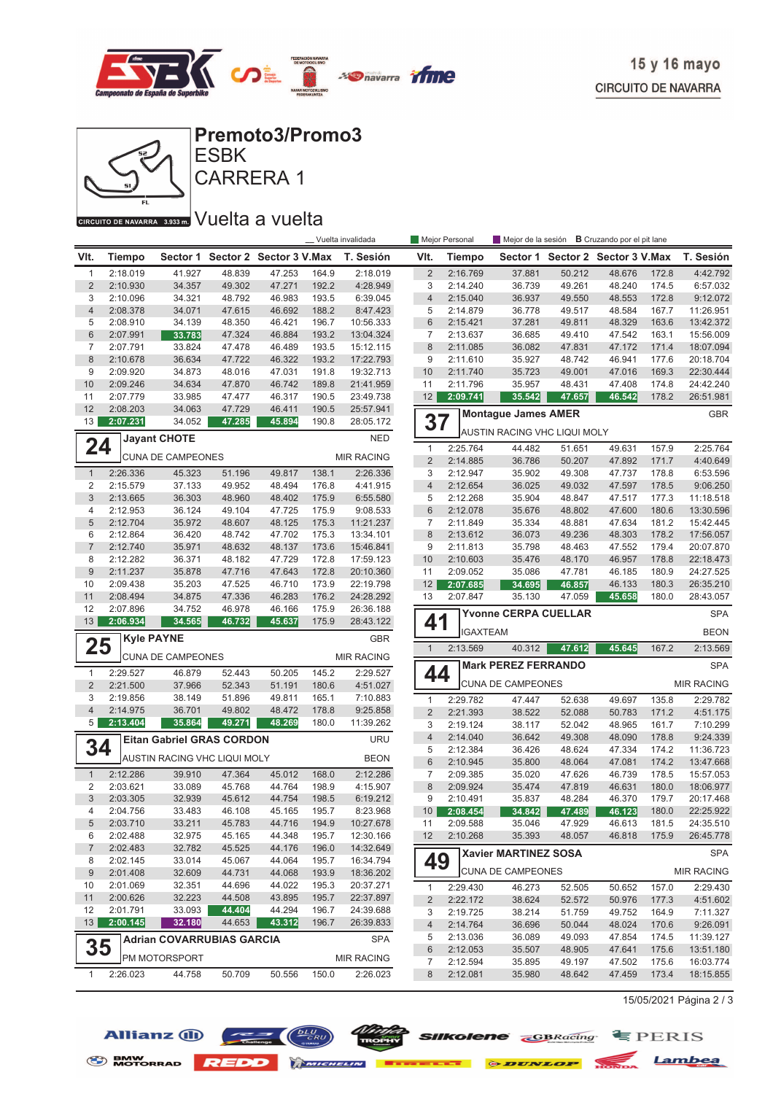



# CARRERA 1

### CIRCUITO DE NAVARRA 3.933 m. VUelta a vuelta

|                     |                      |                                  |                  |                                  |                | Vuelta invalidada      |                     | Mejor Personal       | Mejor de la sesión <b>B</b> Cruzando por el pit lane |                  |                                  |                |                        |
|---------------------|----------------------|----------------------------------|------------------|----------------------------------|----------------|------------------------|---------------------|----------------------|------------------------------------------------------|------------------|----------------------------------|----------------|------------------------|
| VIt.                | <b>Tiempo</b>        |                                  |                  | Sector 1 Sector 2 Sector 3 V.Max |                | T. Sesión              | VIt.                | <b>Tiempo</b>        |                                                      |                  | Sector 1 Sector 2 Sector 3 V.Max |                | T. Sesión              |
| $\mathbf{1}$        | 2:18.019             | 41.927                           | 48.839           | 47.253                           | 164.9          | 2:18.019               | $\overline{2}$      | 2:16.769             | 37.881                                               | 50.212           | 48.676                           | 172.8          | 4:42.792               |
| $\overline{2}$      | 2:10.930             | 34.357                           | 49.302           | 47.271                           | 192.2          | 4:28.949               | 3                   | 2:14.240             | 36.739                                               | 49.261           | 48.240                           | 174.5          | 6:57.032               |
| 3                   | 2:10.096             | 34.321                           | 48.792           | 46.983                           | 193.5          | 6:39.045               | $\overline{4}$      | 2:15.040             | 36.937                                               | 49.550           | 48.553                           | 172.8          | 9:12.072               |
| $\overline{4}$      | 2:08.378             | 34.071                           | 47.615           | 46.692                           | 188.2          | 8:47.423               | 5                   | 2:14.879             | 36.778                                               | 49.517           | 48.584                           | 167.7          | 11:26.951              |
| 5                   | 2:08.910             | 34.139                           | 48.350           | 46.421                           | 196.7          | 10:56.333              | $6\phantom{1}$      | 2:15.421             | 37.281                                               | 49.811           | 48.329                           | 163.6          | 13:42.372              |
| 6                   | 2:07.991             | 33.783                           | 47.324           | 46.884                           | 193.2          | 13:04.324              | $\overline{7}$      | 2:13.637             | 36.685                                               | 49.410           | 47.542                           | 163.1          | 15:56.009              |
| $\overline{7}$      | 2:07.791             | 33.824                           | 47.478           | 46.489                           | 193.5          | 15:12.115              | 8                   | 2:11.085             | 36.082                                               | 47.831           | 47.172                           | 171.4          | 18:07.094              |
| 8<br>9              | 2:10.678             | 36.634                           | 47.722           | 46.322                           | 193.2          | 17:22.793              | 9<br>10             | 2:11.610             | 35.927                                               | 48.742           | 46.941                           | 177.6          | 20:18.704              |
| 10                  | 2:09.920<br>2:09.246 | 34.873<br>34.634                 | 48.016<br>47.870 | 47.031<br>46.742                 | 191.8<br>189.8 | 19:32.713<br>21:41.959 | 11                  | 2:11.740<br>2:11.796 | 35.723<br>35.957                                     | 49.001<br>48.431 | 47.016<br>47.408                 | 169.3<br>174.8 | 22:30.444<br>24:42.240 |
| 11                  | 2:07.779             | 33.985                           | 47.477           | 46.317                           | 190.5          | 23:49.738              | 12                  | 2:09.741             | 35.542                                               | 47.657           | 46.542                           | 178.2          | 26:51.981              |
| 12                  | 2:08.203             | 34.063                           | 47.729           | 46.411                           | 190.5          | 25:57.941              |                     |                      |                                                      |                  |                                  |                |                        |
| 13                  | 2:07.231             | 34.052                           | 47.285           | 45.894                           | 190.8          | 28:05.172              | 37                  |                      | <b>Montague James AMER</b>                           |                  |                                  |                | <b>GBR</b>             |
|                     |                      | <b>Jayant CHOTE</b>              |                  |                                  |                | <b>NED</b>             |                     |                      | AUSTIN RACING VHC LIQUI MOLY                         |                  |                                  |                |                        |
| 24                  |                      |                                  |                  |                                  |                |                        | $\mathbf{1}$        | 2:25.764             | 44.482                                               | 51.651           | 49.631                           | 157.9          | 2:25.764               |
|                     |                      | <b>CUNA DE CAMPEONES</b>         |                  |                                  |                | <b>MIR RACING</b>      | $\overline{2}$      | 2:14.885             | 36.786                                               | 50.207           | 47.892                           | 171.7          | 4:40.649               |
| $\mathbf{1}$        | 2:26.336             | 45.323                           | 51.196           | 49.817                           | 138.1          | 2:26.336               | 3                   | 2:12.947             | 35.902                                               | 49.308           | 47.737                           | 178.8          | 6:53.596               |
| 2                   | 2:15.579             | 37.133                           | 49.952           | 48.494                           | 176.8          | 4:41.915               | $\overline{4}$      | 2:12.654             | 36.025                                               | 49.032           | 47.597                           | 178.5          | 9:06.250               |
| 3                   | 2:13.665             | 36.303                           | 48.960           | 48.402                           | 175.9          | 6:55.580               | 5                   | 2:12.268             | 35.904                                               | 48.847           | 47.517                           | 177.3          | 11:18.518              |
| 4                   | 2:12.953             | 36.124                           | 49.104           | 47.725                           | 175.9          | 9:08.533               | $6\phantom{1}$      | 2:12.078             | 35.676                                               | 48.802           | 47.600                           | 180.6          | 13:30.596              |
| 5                   | 2:12.704             | 35.972                           | 48.607           | 48.125                           | 175.3          | 11:21.237              | $\overline{7}$      | 2:11.849             | 35.334                                               | 48.881           | 47.634                           | 181.2          | 15:42.445              |
| 6                   | 2:12.864             | 36.420                           | 48.742           | 47.702                           | 175.3          | 13:34.101              | 8                   | 2:13.612             | 36.073                                               | 49.236           | 48.303                           | 178.2          | 17:56.057              |
| $\overline{7}$      | 2:12.740             | 35.971                           | 48.632           | 48.137                           | 173.6          | 15:46.841              | 9                   | 2:11.813             | 35.798                                               | 48.463           | 47.552                           | 179.4          | 20:07.870              |
| 8                   | 2:12.282             | 36.371                           | 48.182           | 47.729                           | 172.8          | 17:59.123              | 10                  | 2:10.603             | 35.476                                               | 48.170           | 46.957                           | 178.8          | 22:18.473              |
| $9\,$               | 2:11.237             | 35.878                           | 47.716           | 47.643                           | 172.8          | 20:10.360              | 11                  | 2:09.052             | 35.086                                               | 47.781           | 46.185                           | 180.9          | 24:27.525              |
| 10                  | 2:09.438             | 35.203                           | 47.525           | 46.710                           | 173.9          | 22:19.798              | 12                  | 2:07.685             | 34.695                                               | 46.857           | 46.133                           | 180.3<br>180.0 | 26:35.210              |
| 11<br>12            | 2:08.494<br>2:07.896 | 34.875<br>34.752                 | 47.336<br>46.978 | 46.283<br>46.166                 | 176.2<br>175.9 | 24:28.292<br>26:36.188 | 13                  | 2:07.847             | 35.130                                               | 47.059           | 45.658                           |                | 28:43.057              |
| 13                  | 2:06.934             | 34.565                           | 46.732           | 45.637                           | 175.9          | 28:43.122              | 41                  |                      | <b>Yvonne CERPA CUELLAR</b>                          |                  |                                  |                | <b>SPA</b>             |
|                     |                      | <b>Kyle PAYNE</b>                |                  |                                  |                | <b>GBR</b>             |                     | <b>IGAXTEAM</b>      |                                                      |                  |                                  |                | <b>BEON</b>            |
| 25                  |                      |                                  |                  |                                  |                |                        | $\mathbf{1}$        | 2:13.569             | 40.312                                               | 47.612           | 45.645                           | 167.2          | 2:13.569               |
|                     |                      | <b>CUNA DE CAMPEONES</b>         |                  |                                  |                | <b>MIR RACING</b>      |                     |                      | <b>Mark PEREZ FERRANDO</b>                           |                  |                                  |                | <b>SPA</b>             |
| $\mathbf{1}$        | 2:29.527             | 46.879                           | 52.443           | 50.205                           | 145.2          | 2:29.527               | 44                  |                      | <b>CUNA DE CAMPEONES</b>                             |                  |                                  |                | <b>MIR RACING</b>      |
| $\overline{2}$<br>3 | 2:21.500             | 37.966                           | 52.343           | 51.191                           | 180.6          | 4:51.027               |                     |                      |                                                      |                  |                                  |                |                        |
| $\overline{4}$      | 2:19.856<br>2:14.975 | 38.149<br>36.701                 | 51.896<br>49.802 | 49.811<br>48.472                 | 165.1<br>178.8 | 7:10.883<br>9:25.858   | $\mathbf{1}$        | 2:29.782             | 47.447                                               | 52.638           | 49.697                           | 135.8          | 2:29.782               |
| 5                   | 2:13.404             | 35.864                           | 49.271           | 48.269                           | 180.0          | 11:39.262              | $\overline{2}$      | 2:21.393             | 38.522                                               | 52.088           | 50.783                           | 171.2          | 4:51.175               |
|                     |                      |                                  |                  |                                  |                |                        | 3                   | 2:19.124             | 38.117                                               | 52.042           | 48.965                           | 161.7          | 7:10.299               |
| 34                  |                      | <b>Eitan Gabriel GRAS CORDON</b> |                  |                                  |                | <b>URU</b>             | $\overline{4}$<br>5 | 2:14.040<br>2:12.384 | 36.642<br>36.426                                     | 49.308<br>48.624 | 48.090<br>47.334                 | 178.8<br>174.2 | 9:24.339<br>11:36.723  |
|                     |                      | AUSTIN RACING VHC LIQUI MOLY     |                  |                                  |                | <b>BEON</b>            | 6                   | 2:10.945             | 35.800                                               | 48.064           | 47.081                           | 174.2          | 13:47.668              |
| $\mathbf{1}$        | 2:12.286             | 39.910                           | 47.364           | 45.012                           | 168.0          | 2:12.286               | $\overline{7}$      | 2:09.385             | 35.020                                               | 47.626           | 46.739                           | 178.5          | 15:57.053              |
| 2                   | 2:03.621             | 33.089                           | 45.768           | 44.764                           | 198.9          | 4:15.907               | 8                   | 2:09.924             | 35.474                                               | 47.819           | 46.631                           | 180.0          | 18:06.977              |
| 3                   | 2:03.305             | 32.939                           | 45.612           | 44.754                           | 198.5          | 6:19.212               | 9                   | 2:10.491             | 35.837                                               | 48.284           | 46.370                           | 179.7          | 20:17.468              |
| 4                   | 2:04.756             | 33.483                           | 46.108           | 45.165                           | 195.7          | 8:23.968               | 10 <sup>1</sup>     | 2:08.454             | 34.842                                               | 47.489           | 46.123                           | 180.0          | 22:25.922              |
| 5                   | 2:03.710             | 33.211                           | 45.783           | 44.716                           | 194.9          | 10:27.678              | 11                  | 2:09.588             | 35.046                                               | 47.929           | 46.613                           | 181.5          | 24:35.510              |
| 6                   | 2:02.488             | 32.975                           | 45.165           | 44.348                           | 195.7          | 12:30.166              | 12                  | 2:10.268             | 35.393                                               | 48.057           | 46.818                           | 175.9          | 26:45.778              |
| $\overline{7}$      | 2:02.483             | 32.782                           | 45.525           | 44.176                           | 196.0          | 14:32.649              |                     |                      | Xavier MARTINEZ SOSA                                 |                  |                                  |                | <b>SPA</b>             |
| 8                   | 2:02.145             | 33.014                           | 45.067           | 44.064                           | 195.7          | 16:34.794              | 49                  |                      |                                                      |                  |                                  |                |                        |
| 9                   | 2:01.408             | 32.609                           | 44.731           | 44.068                           | 193.9          | 18:36.202              |                     |                      | <b>CUNA DE CAMPEONES</b>                             |                  |                                  |                | <b>MIR RACING</b>      |
| 10                  | 2:01.069             | 32.351                           | 44.696           | 44.022                           | 195.3          | 20:37.271              | $\mathbf{1}$        | 2:29.430             | 46.273                                               | 52.505           | 50.652                           | 157.0          | 2:29.430               |
| 11                  | 2:00.626             | 32.223                           | 44.508           | 43.895                           | 195.7          | 22:37.897              | 2                   | 2:22.172             | 38.624                                               | 52.572           | 50.976                           | 177.3          | 4:51.602               |
| 12<br>13            | 2:01.791             | 33.093                           | 44.404           | 44.294                           | 196.7          | 24:39.688              | 3                   | 2:19.725             | 38.214                                               | 51.759           | 49.752                           | 164.9          | 7:11.327               |
|                     | 2:00.145             | 32.180                           | 44.653           | 43.312                           | 196.7          | 26:39.833              | 4                   | 2:14.764             | 36.696                                               | 50.044           | 48.024                           | 170.6          | 9:26.091               |
|                     |                      | <b>Adrian COVARRUBIAS GARCIA</b> |                  |                                  |                | <b>SPA</b>             | 5                   | 2:13.036             | 36.089                                               | 49.093           | 47.854                           | 174.5          | 11:39.127              |
| 35                  |                      | PM MOTORSPORT                    |                  |                                  |                | <b>MIR RACING</b>      | $6\phantom{1}6$     | 2:12.053             | 35.507                                               | 48.905           | 47.641                           | 175.6          | 13:51.180              |
|                     |                      |                                  |                  | 50.556                           | 150.0          | 2:26.023               | 7                   | 2:12.594<br>2:12.081 | 35.895                                               | 49.197           | 47.502                           | 175.6          | 16:03.774              |
| 1                   | 2:26.023             | 44.758                           | 50.709           |                                  |                |                        | 8                   |                      | 35.980                                               | 48.642           | 47.459                           | 173.4          | 18:15.855              |

15/05/2021 Página 2 / 3





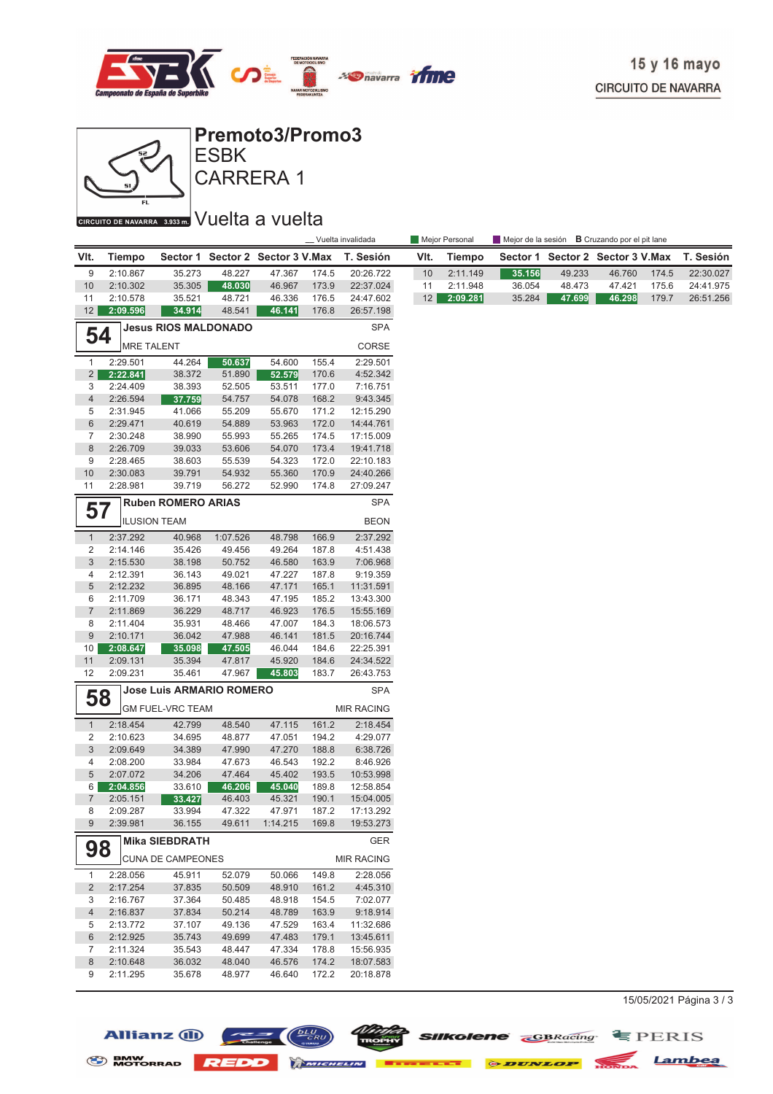![](_page_11_Picture_0.jpeg)

![](_page_11_Figure_2.jpeg)

**Premoto3/Promo3**

CARRERA 1 **ESBK** 

### CIRCUITO DE NAVARRA 3.933 m. VUelta a vuelta

|                                |                                                                  |                             |                  | __ Vuelta invalidada             |                |                        |      | Mejor Personal |        |        | Mejor de la sesión <b>B</b> Cruzando por el pit lane |       |           |
|--------------------------------|------------------------------------------------------------------|-----------------------------|------------------|----------------------------------|----------------|------------------------|------|----------------|--------|--------|------------------------------------------------------|-------|-----------|
| VIt.                           | Tiempo                                                           |                             |                  | Sector 1 Sector 2 Sector 3 V.Max |                | T. Sesión              | VIt. | Tiempo         |        |        | Sector 1 Sector 2 Sector 3 V.Max                     |       | T. Sesión |
| 9                              | 2:10.867                                                         | 35.273                      | 48.227           | 47.367                           | 174.5          | 20:26.722              | 10   | 2:11.149       | 35.156 | 49.233 | 46.760                                               | 174.5 | 22:30.027 |
| 10                             | 2:10.302                                                         | 35.305                      | 48.030           | 46.967                           | 173.9          | 22:37.024              | 11   | 2:11.948       | 36.054 | 48.473 | 47.421                                               | 175.6 | 24:41.975 |
| 11                             | 2:10.578                                                         | 35.521                      | 48.721           | 46.336                           | 176.5          | 24:47.602              | 12   | 2:09.281       | 35.284 | 47.699 | 46.298                                               | 179.7 | 26:51.256 |
| 12                             | 2:09.596                                                         | 34.914                      | 48.541           | 46.141                           | 176.8          | 26:57.198              |      |                |        |        |                                                      |       |           |
| 54                             |                                                                  | <b>Jesus RIOS MALDONADO</b> |                  |                                  |                | <b>SPA</b>             |      |                |        |        |                                                      |       |           |
|                                | <b>MRE TALENT</b>                                                |                             |                  |                                  |                | CORSE                  |      |                |        |        |                                                      |       |           |
| $\mathbf{1}$                   | 2:29.501                                                         | 44.264                      | 50.637           | 54.600                           | 155.4          | 2:29.501               |      |                |        |        |                                                      |       |           |
| 2                              | 2:22.841                                                         | 38.372                      | 51.890           | 52.579                           | 170.6          | 4:52.342               |      |                |        |        |                                                      |       |           |
| 3                              | 2:24.409                                                         | 38.393                      | 52.505           | 53.511                           | 177.0          | 7:16.751               |      |                |        |        |                                                      |       |           |
| 4                              | 2:26.594                                                         | 37.759                      | 54.757           | 54.078                           | 168.2          | 9:43.345               |      |                |        |        |                                                      |       |           |
| 5                              | 2:31.945                                                         | 41.066                      | 55.209           | 55.670                           | 171.2          | 12:15.290              |      |                |        |        |                                                      |       |           |
| 6                              | 2:29.471                                                         | 40.619                      | 54.889           | 53.963                           | 172.0          | 14:44.761              |      |                |        |        |                                                      |       |           |
| $\overline{7}$                 | 2:30.248                                                         | 38.990                      | 55.993           | 55.265                           | 174.5          | 17:15.009              |      |                |        |        |                                                      |       |           |
| 8<br>9                         | 2:26.709<br>2:28.465                                             | 39.033                      | 53.606           | 54.070<br>54.323                 | 173.4<br>172.0 | 19:41.718              |      |                |        |        |                                                      |       |           |
| 10                             | 2:30.083                                                         | 38.603<br>39.791            | 55.539<br>54.932 | 55.360                           | 170.9          | 22:10.183<br>24:40.266 |      |                |        |        |                                                      |       |           |
| 11                             | 2:28.981                                                         | 39.719                      | 56.272           | 52.990                           | 174.8          | 27:09.247              |      |                |        |        |                                                      |       |           |
|                                |                                                                  | <b>Ruben ROMERO ARIAS</b>   |                  |                                  |                | <b>SPA</b>             |      |                |        |        |                                                      |       |           |
| 57                             |                                                                  | <b>ILUSION TEAM</b>         |                  |                                  |                | <b>BEON</b>            |      |                |        |        |                                                      |       |           |
| $\mathbf{1}$                   | 2:37.292                                                         | 40.968                      | 1:07.526         | 48.798                           | 166.9          | 2:37.292               |      |                |        |        |                                                      |       |           |
| $\overline{2}$                 | 2:14.146                                                         | 35.426                      | 49.456           | 49.264                           | 187.8          | 4:51.438               |      |                |        |        |                                                      |       |           |
| $\mathfrak{B}$                 | 2:15.530                                                         | 38.198                      | 50.752           | 46.580                           | 163.9          | 7:06.968               |      |                |        |        |                                                      |       |           |
| 4                              | 2:12.391                                                         | 36.143                      | 49.021           | 47.227                           | 187.8          | 9:19.359               |      |                |        |        |                                                      |       |           |
| 5                              | 2:12.232                                                         | 36.895                      | 48.166           | 47.171                           | 165.1          | 11:31.591              |      |                |        |        |                                                      |       |           |
| 6                              | 2:11.709                                                         | 36.171                      | 48.343           | 47.195                           | 185.2          | 13:43.300              |      |                |        |        |                                                      |       |           |
| $\overline{7}$                 | 2:11.869                                                         | 36.229                      | 48.717           | 46.923                           | 176.5          | 15:55.169              |      |                |        |        |                                                      |       |           |
| 8                              | 2:11.404                                                         | 35.931                      | 48.466           | 47.007                           | 184.3          | 18:06.573              |      |                |        |        |                                                      |       |           |
| $\overline{9}$                 | 2:10.171                                                         | 36.042                      | 47.988           | 46.141                           | 181.5          | 20:16.744              |      |                |        |        |                                                      |       |           |
| 10                             | 2:08.647                                                         | 35.098                      | 47.505           | 46.044                           | 184.6          | 22:25.391              |      |                |        |        |                                                      |       |           |
| 11<br>12                       | 2:09.131<br>2:09.231                                             | 35.394<br>35.461            | 47.817<br>47.967 | 45.920<br>45.803                 | 184.6<br>183.7 | 24:34.522              |      |                |        |        |                                                      |       |           |
|                                |                                                                  |                             |                  |                                  |                | 26:43.753<br>SPA       |      |                |        |        |                                                      |       |           |
|                                | <b>Jose Luis ARMARIO ROMERO</b><br>58<br><b>GM FUEL-VRC TEAM</b> |                             |                  |                                  |                | <b>MIR RACING</b>      |      |                |        |        |                                                      |       |           |
|                                |                                                                  |                             |                  |                                  |                |                        |      |                |        |        |                                                      |       |           |
| $\mathbf{1}$<br>$\overline{2}$ | 2:18.454<br>2:10.623                                             | 42.799<br>34.695            | 48.540<br>48.877 | 47.115<br>47.051                 | 161.2<br>194.2 | 2:18.454<br>4:29.077   |      |                |        |        |                                                      |       |           |
| $\sqrt{3}$                     | 2:09.649                                                         | 34.389                      | 47.990           | 47.270                           | 188.8          | 6:38.726               |      |                |        |        |                                                      |       |           |
| 4                              | 2:08.200                                                         | 33.984                      | 47.673           | 46.543                           | 192.2          | 8:46.926               |      |                |        |        |                                                      |       |           |
| 5                              | 2:07.072                                                         | 34.206                      | 47.464           | 45.402                           | 193.5          | 10:53.998              |      |                |        |        |                                                      |       |           |
| 6                              | 2:04.856                                                         | 33.610                      | 46.206           | 45.040                           | 189.8          | 12:58.854              |      |                |        |        |                                                      |       |           |
| $\overline{7}$                 | 2:05.151                                                         | 33.427                      | 46.403           | 45.321                           | 190.1          | 15:04.005              |      |                |        |        |                                                      |       |           |
| 8                              | 2:09.287                                                         | 33.994                      | 47.322           | 47.971                           | 187.2          | 17:13.292              |      |                |        |        |                                                      |       |           |
| 9                              | 2:39.981                                                         | 36.155                      | 49.611           | 1:14.215                         | 169.8          | 19:53.273              |      |                |        |        |                                                      |       |           |
| 98                             |                                                                  | <b>Mika SIEBDRATH</b>       |                  |                                  |                | <b>GER</b>             |      |                |        |        |                                                      |       |           |
|                                |                                                                  | <b>CUNA DE CAMPEONES</b>    |                  |                                  |                | <b>MIR RACING</b>      |      |                |        |        |                                                      |       |           |
| 1                              | 2:28.056                                                         | 45.911                      | 52.079           | 50.066                           | 149.8          | 2:28.056               |      |                |        |        |                                                      |       |           |
| $\overline{2}$                 | 2:17.254                                                         | 37.835                      | 50.509           | 48.910                           | 161.2          | 4:45.310               |      |                |        |        |                                                      |       |           |
| 3                              | 2:16.767                                                         | 37.364                      | 50.485           | 48.918                           | 154.5          | 7:02.077               |      |                |        |        |                                                      |       |           |
| 4                              | 2:16.837                                                         | 37.834                      | 50.214           | 48.789                           | 163.9          | 9:18.914               |      |                |        |        |                                                      |       |           |
| 5                              | 2:13.772                                                         | 37.107                      | 49.136           | 47.529                           | 163.4          | 11:32.686              |      |                |        |        |                                                      |       |           |
| 6<br>7                         | 2:12.925                                                         | 35.743                      | 49.699           | 47.483                           | 179.1          | 13:45.611              |      |                |        |        |                                                      |       |           |
| 8                              | 2:11.324<br>2:10.648                                             | 35.543<br>36.032            | 48.447<br>48.040 | 47.334<br>46.576                 | 178.8<br>174.2 | 15:56.935<br>18:07.583 |      |                |        |        |                                                      |       |           |
| 9                              | 2:11.295                                                         | 35.678                      | 48.977           | 46.640                           | 172.2          | 20:18.878              |      |                |        |        |                                                      |       |           |
|                                |                                                                  |                             |                  |                                  |                |                        |      |                |        |        |                                                      |       |           |

 $15/05/2021$  Página 3 / 3

![](_page_11_Picture_8.jpeg)

Allianz  $\bigoplus$ 

![](_page_11_Picture_9.jpeg)

*NDOC* SIIKolene GBRacing EPERIS